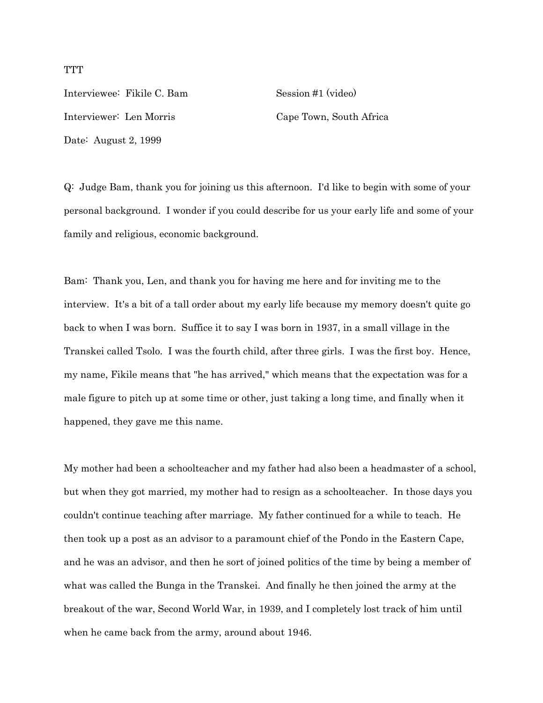Interviewee: Fikile C. Bam Session #1 (video) Interviewer: Len Morris Cape Town, South Africa Date: August 2, 1999

Q: Judge Bam, thank you for joining us this afternoon. I'd like to begin with some of your personal background. I wonder if you could describe for us your early life and some of your family and religious, economic background.

Bam: Thank you, Len, and thank you for having me here and for inviting me to the interview. It's a bit of a tall order about my early life because my memory doesn't quite go back to when I was born. Suffice it to say I was born in 1937, in a small village in the Transkei called Tsolo. I was the fourth child, after three girls. I was the first boy. Hence, my name, Fikile means that "he has arrived," which means that the expectation was for a male figure to pitch up at some time or other, just taking a long time, and finally when it happened, they gave me this name.

My mother had been a schoolteacher and my father had also been a headmaster of a school, but when they got married, my mother had to resign as a schoolteacher. In those days you couldn't continue teaching after marriage. My father continued for a while to teach. He then took up a post as an advisor to a paramount chief of the Pondo in the Eastern Cape, and he was an advisor, and then he sort of joined politics of the time by being a member of what was called the Bunga in the Transkei. And finally he then joined the army at the breakout of the war, Second World War, in 1939, and I completely lost track of him until when he came back from the army, around about 1946.

### **TTT**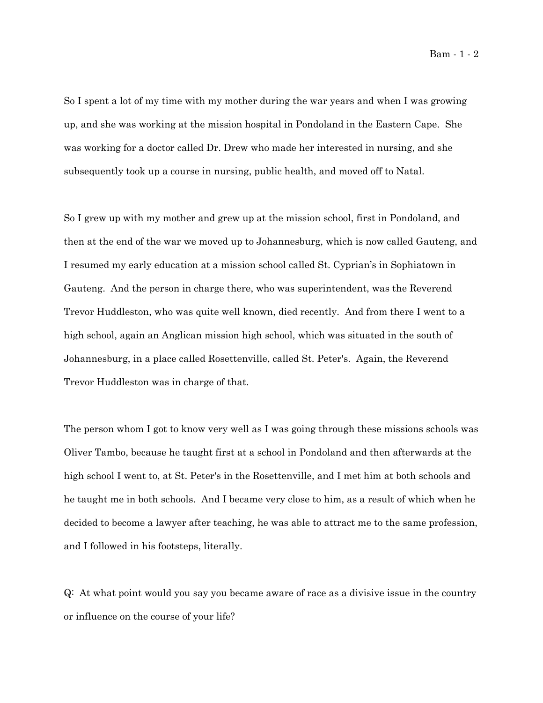So I spent a lot of my time with my mother during the war years and when I was growing up, and she was working at the mission hospital in Pondoland in the Eastern Cape. She was working for a doctor called Dr. Drew who made her interested in nursing, and she subsequently took up a course in nursing, public health, and moved off to Natal.

So I grew up with my mother and grew up at the mission school, first in Pondoland, and then at the end of the war we moved up to Johannesburg, which is now called Gauteng, and I resumed my early education at a mission school called St. Cyprian's in Sophiatown in Gauteng. And the person in charge there, who was superintendent, was the Reverend Trevor Huddleston, who was quite well known, died recently. And from there I went to a high school, again an Anglican mission high school, which was situated in the south of Johannesburg, in a place called Rosettenville, called St. Peter's. Again, the Reverend Trevor Huddleston was in charge of that.

The person whom I got to know very well as I was going through these missions schools was Oliver Tambo, because he taught first at a school in Pondoland and then afterwards at the high school I went to, at St. Peter's in the Rosettenville, and I met him at both schools and he taught me in both schools. And I became very close to him, as a result of which when he decided to become a lawyer after teaching, he was able to attract me to the same profession, and I followed in his footsteps, literally.

Q: At what point would you say you became aware of race as a divisive issue in the country or influence on the course of your life?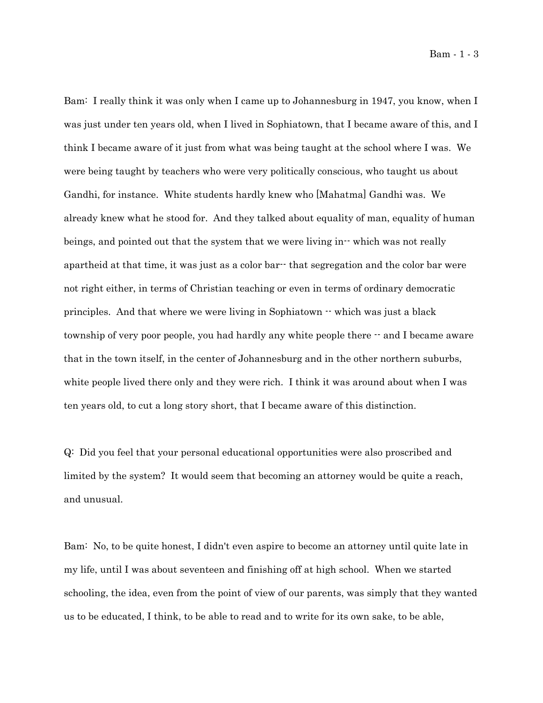Bam - 1 - 3

Bam: I really think it was only when I came up to Johannesburg in 1947, you know, when I was just under ten years old, when I lived in Sophiatown, that I became aware of this, and I think I became aware of it just from what was being taught at the school where I was. We were being taught by teachers who were very politically conscious, who taught us about Gandhi, for instance. White students hardly knew who [Mahatma] Gandhi was. We already knew what he stood for. And they talked about equality of man, equality of human beings, and pointed out that the system that we were living in-- which was not really apartheid at that time, it was just as a color bar-- that segregation and the color bar were not right either, in terms of Christian teaching or even in terms of ordinary democratic principles. And that where we were living in Sophiatown -- which was just a black township of very poor people, you had hardly any white people there -- and I became aware that in the town itself, in the center of Johannesburg and in the other northern suburbs, white people lived there only and they were rich. I think it was around about when I was ten years old, to cut a long story short, that I became aware of this distinction.

Q: Did you feel that your personal educational opportunities were also proscribed and limited by the system? It would seem that becoming an attorney would be quite a reach, and unusual.

Bam: No, to be quite honest, I didn't even aspire to become an attorney until quite late in my life, until I was about seventeen and finishing off at high school. When we started schooling, the idea, even from the point of view of our parents, was simply that they wanted us to be educated, I think, to be able to read and to write for its own sake, to be able,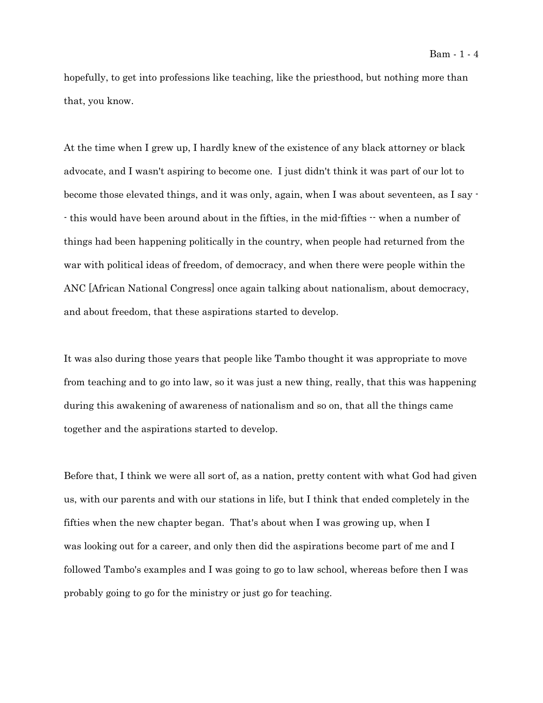hopefully, to get into professions like teaching, like the priesthood, but nothing more than that, you know.

At the time when I grew up, I hardly knew of the existence of any black attorney or black advocate, and I wasn't aspiring to become one. I just didn't think it was part of our lot to become those elevated things, and it was only, again, when I was about seventeen, as I say - - this would have been around about in the fifties, in the mid-fifties -- when a number of things had been happening politically in the country, when people had returned from the war with political ideas of freedom, of democracy, and when there were people within the ANC [African National Congress] once again talking about nationalism, about democracy, and about freedom, that these aspirations started to develop.

It was also during those years that people like Tambo thought it was appropriate to move from teaching and to go into law, so it was just a new thing, really, that this was happening during this awakening of awareness of nationalism and so on, that all the things came together and the aspirations started to develop.

Before that, I think we were all sort of, as a nation, pretty content with what God had given us, with our parents and with our stations in life, but I think that ended completely in the fifties when the new chapter began. That's about when I was growing up, when I was looking out for a career, and only then did the aspirations become part of me and I followed Tambo's examples and I was going to go to law school, whereas before then I was probably going to go for the ministry or just go for teaching.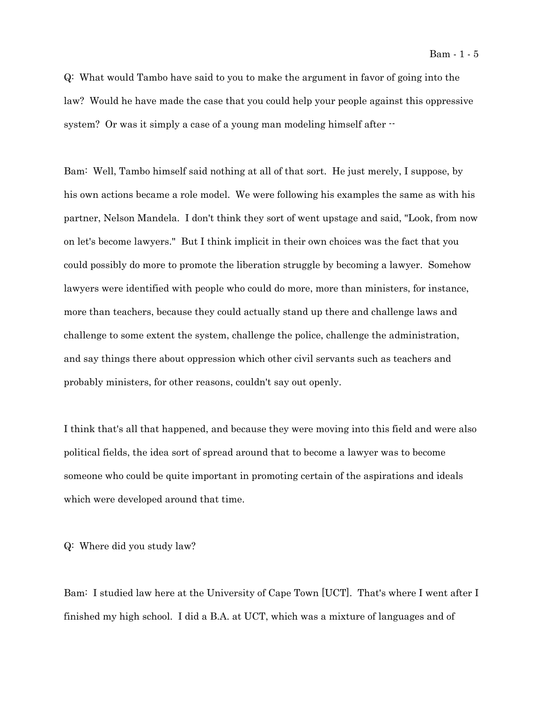Bam - 1 - 5

Q: What would Tambo have said to you to make the argument in favor of going into the law? Would he have made the case that you could help your people against this oppressive system? Or was it simply a case of a young man modeling himself after  $\cdot$ 

Bam: Well, Tambo himself said nothing at all of that sort. He just merely, I suppose, by his own actions became a role model. We were following his examples the same as with his partner, Nelson Mandela. I don't think they sort of went upstage and said, "Look, from now on let's become lawyers." But I think implicit in their own choices was the fact that you could possibly do more to promote the liberation struggle by becoming a lawyer. Somehow lawyers were identified with people who could do more, more than ministers, for instance, more than teachers, because they could actually stand up there and challenge laws and challenge to some extent the system, challenge the police, challenge the administration, and say things there about oppression which other civil servants such as teachers and probably ministers, for other reasons, couldn't say out openly.

I think that's all that happened, and because they were moving into this field and were also political fields, the idea sort of spread around that to become a lawyer was to become someone who could be quite important in promoting certain of the aspirations and ideals which were developed around that time.

Q: Where did you study law?

Bam: I studied law here at the University of Cape Town [UCT]. That's where I went after I finished my high school. I did a B.A. at UCT, which was a mixture of languages and of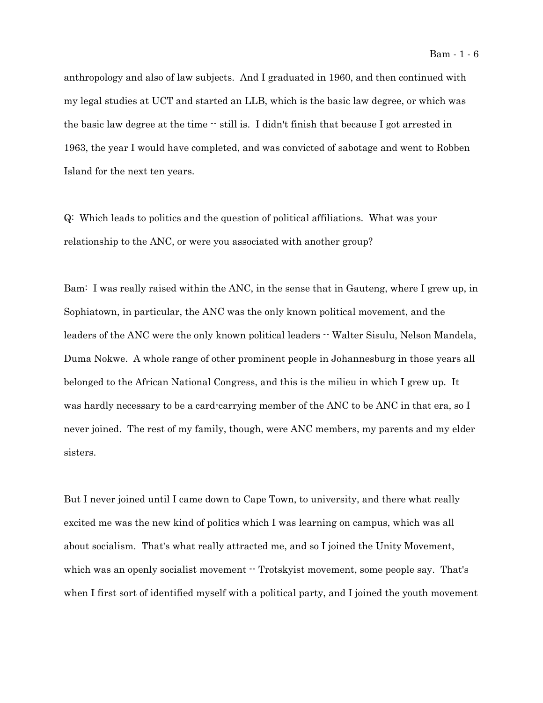anthropology and also of law subjects. And I graduated in 1960, and then continued with my legal studies at UCT and started an LLB, which is the basic law degree, or which was the basic law degree at the time -- still is. I didn't finish that because I got arrested in 1963, the year I would have completed, and was convicted of sabotage and went to Robben Island for the next ten years.

Q: Which leads to politics and the question of political affiliations. What was your relationship to the ANC, or were you associated with another group?

Bam: I was really raised within the ANC, in the sense that in Gauteng, where I grew up, in Sophiatown, in particular, the ANC was the only known political movement, and the leaders of the ANC were the only known political leaders  $\cdot$  Walter Sisulu, Nelson Mandela, Duma Nokwe. A whole range of other prominent people in Johannesburg in those years all belonged to the African National Congress, and this is the milieu in which I grew up. It was hardly necessary to be a card-carrying member of the ANC to be ANC in that era, so I never joined. The rest of my family, though, were ANC members, my parents and my elder sisters.

But I never joined until I came down to Cape Town, to university, and there what really excited me was the new kind of politics which I was learning on campus, which was all about socialism. That's what really attracted me, and so I joined the Unity Movement, which was an openly socialist movement  $\cdot$  Trotskyist movement, some people say. That's when I first sort of identified myself with a political party, and I joined the youth movement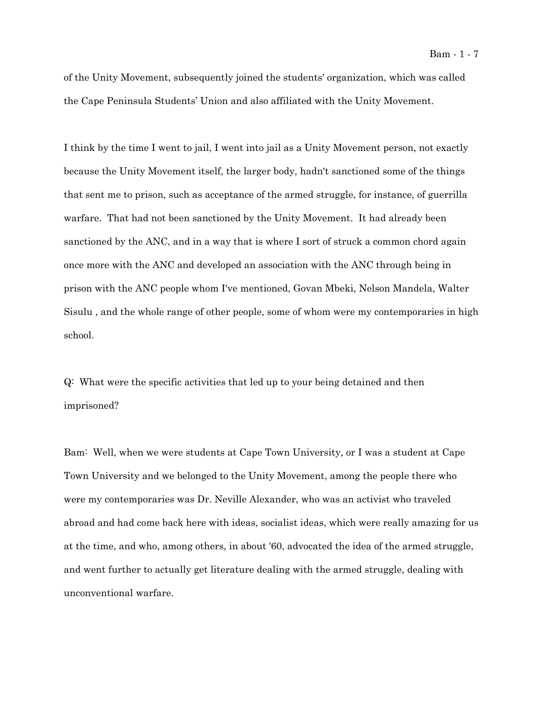of the Unity Movement, subsequently joined the students' organization, which was called the Cape Peninsula Students' Union and also affiliated with the Unity Movement.

I think by the time I went to jail, I went into jail as a Unity Movement person, not exactly because the Unity Movement itself, the larger body, hadn't sanctioned some of the things that sent me to prison, such as acceptance of the armed struggle, for instance, of guerrilla warfare. That had not been sanctioned by the Unity Movement. It had already been sanctioned by the ANC, and in a way that is where I sort of struck a common chord again once more with the ANC and developed an association with the ANC through being in prison with the ANC people whom I've mentioned, Govan Mbeki, Nelson Mandela, Walter Sisulu , and the whole range of other people, some of whom were my contemporaries in high school.

Q: What were the specific activities that led up to your being detained and then imprisoned?

Bam: Well, when we were students at Cape Town University, or I was a student at Cape Town University and we belonged to the Unity Movement, among the people there who were my contemporaries was Dr. Neville Alexander, who was an activist who traveled abroad and had come back here with ideas, socialist ideas, which were really amazing for us at the time, and who, among others, in about '60, advocated the idea of the armed struggle, and went further to actually get literature dealing with the armed struggle, dealing with unconventional warfare.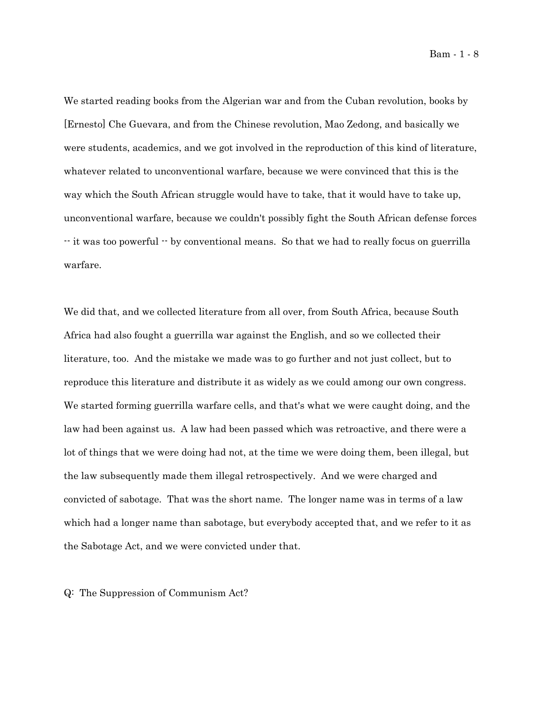Bam - 1 - 8

We started reading books from the Algerian war and from the Cuban revolution, books by [Ernesto] Che Guevara, and from the Chinese revolution, Mao Zedong, and basically we were students, academics, and we got involved in the reproduction of this kind of literature, whatever related to unconventional warfare, because we were convinced that this is the way which the South African struggle would have to take, that it would have to take up, unconventional warfare, because we couldn't possibly fight the South African defense forces -- it was too powerful -- by conventional means. So that we had to really focus on guerrilla warfare.

We did that, and we collected literature from all over, from South Africa, because South Africa had also fought a guerrilla war against the English, and so we collected their literature, too. And the mistake we made was to go further and not just collect, but to reproduce this literature and distribute it as widely as we could among our own congress. We started forming guerrilla warfare cells, and that's what we were caught doing, and the law had been against us. A law had been passed which was retroactive, and there were a lot of things that we were doing had not, at the time we were doing them, been illegal, but the law subsequently made them illegal retrospectively. And we were charged and convicted of sabotage. That was the short name. The longer name was in terms of a law which had a longer name than sabotage, but everybody accepted that, and we refer to it as the Sabotage Act, and we were convicted under that.

Q: The Suppression of Communism Act?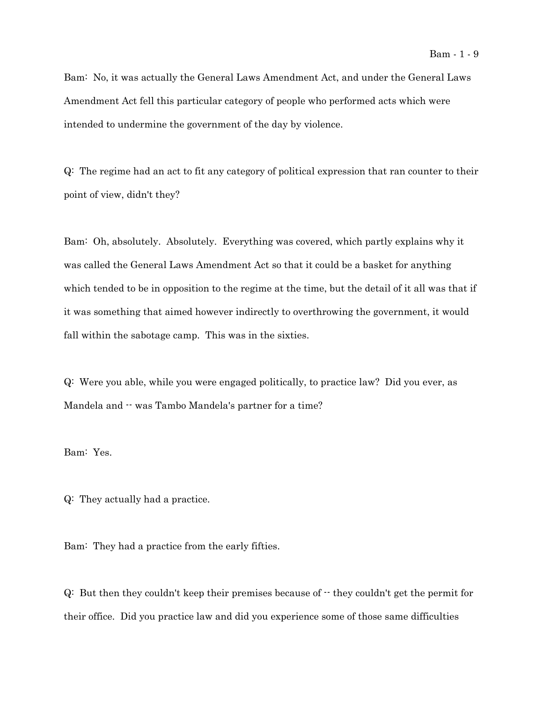Bam: No, it was actually the General Laws Amendment Act, and under the General Laws Amendment Act fell this particular category of people who performed acts which were intended to undermine the government of the day by violence.

Q: The regime had an act to fit any category of political expression that ran counter to their point of view, didn't they?

Bam: Oh, absolutely. Absolutely. Everything was covered, which partly explains why it was called the General Laws Amendment Act so that it could be a basket for anything which tended to be in opposition to the regime at the time, but the detail of it all was that if it was something that aimed however indirectly to overthrowing the government, it would fall within the sabotage camp. This was in the sixties.

Q: Were you able, while you were engaged politically, to practice law? Did you ever, as Mandela and  $\cdot$  was Tambo Mandela's partner for a time?

Bam: Yes.

Q: They actually had a practice.

Bam: They had a practice from the early fifties.

 $Q:$  But then they couldn't keep their premises because of  $\cdot$  they couldn't get the permit for their office. Did you practice law and did you experience some of those same difficulties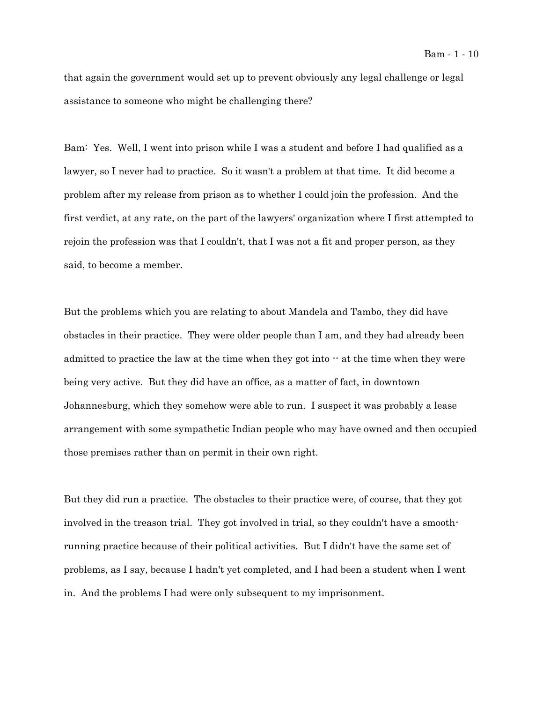that again the government would set up to prevent obviously any legal challenge or legal assistance to someone who might be challenging there?

Bam: Yes. Well, I went into prison while I was a student and before I had qualified as a lawyer, so I never had to practice. So it wasn't a problem at that time. It did become a problem after my release from prison as to whether I could join the profession. And the first verdict, at any rate, on the part of the lawyers' organization where I first attempted to rejoin the profession was that I couldn't, that I was not a fit and proper person, as they said, to become a member.

But the problems which you are relating to about Mandela and Tambo, they did have obstacles in their practice. They were older people than I am, and they had already been admitted to practice the law at the time when they got into  $\cdot$  at the time when they were being very active. But they did have an office, as a matter of fact, in downtown Johannesburg, which they somehow were able to run. I suspect it was probably a lease arrangement with some sympathetic Indian people who may have owned and then occupied those premises rather than on permit in their own right.

But they did run a practice. The obstacles to their practice were, of course, that they got involved in the treason trial. They got involved in trial, so they couldn't have a smoothrunning practice because of their political activities. But I didn't have the same set of problems, as I say, because I hadn't yet completed, and I had been a student when I went in. And the problems I had were only subsequent to my imprisonment.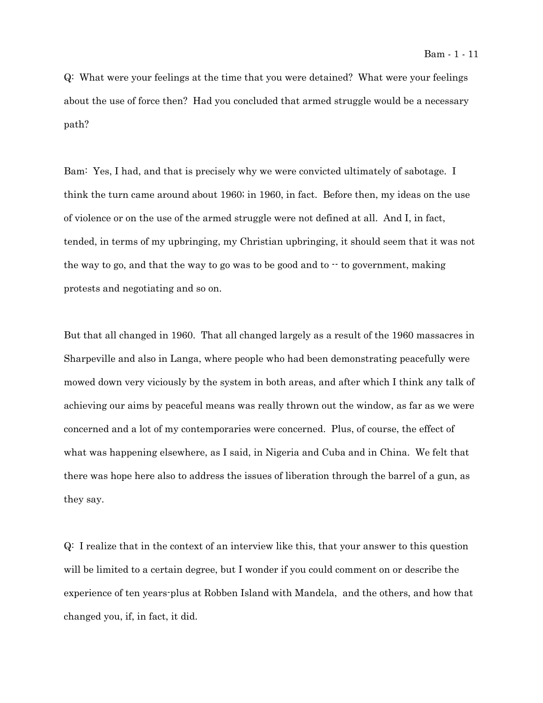Q: What were your feelings at the time that you were detained? What were your feelings about the use of force then? Had you concluded that armed struggle would be a necessary path?

Bam: Yes, I had, and that is precisely why we were convicted ultimately of sabotage. I think the turn came around about 1960; in 1960, in fact. Before then, my ideas on the use of violence or on the use of the armed struggle were not defined at all. And I, in fact, tended, in terms of my upbringing, my Christian upbringing, it should seem that it was not the way to go, and that the way to go was to be good and to  $\cdot$  to government, making protests and negotiating and so on.

But that all changed in 1960. That all changed largely as a result of the 1960 massacres in Sharpeville and also in Langa, where people who had been demonstrating peacefully were mowed down very viciously by the system in both areas, and after which I think any talk of achieving our aims by peaceful means was really thrown out the window, as far as we were concerned and a lot of my contemporaries were concerned. Plus, of course, the effect of what was happening elsewhere, as I said, in Nigeria and Cuba and in China. We felt that there was hope here also to address the issues of liberation through the barrel of a gun, as they say.

Q: I realize that in the context of an interview like this, that your answer to this question will be limited to a certain degree, but I wonder if you could comment on or describe the experience of ten years-plus at Robben Island with Mandela, and the others, and how that changed you, if, in fact, it did.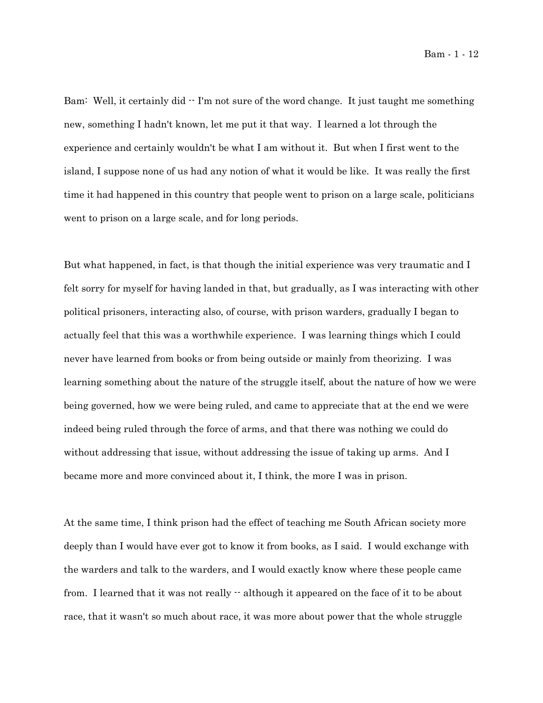Bam: Well, it certainly did  $\cdot$  I'm not sure of the word change. It just taught me something new, something I hadn't known, let me put it that way. I learned a lot through the experience and certainly wouldn't be what I am without it. But when I first went to the island, I suppose none of us had any notion of what it would be like. It was really the first time it had happened in this country that people went to prison on a large scale, politicians went to prison on a large scale, and for long periods.

But what happened, in fact, is that though the initial experience was very traumatic and I felt sorry for myself for having landed in that, but gradually, as I was interacting with other political prisoners, interacting also, of course, with prison warders, gradually I began to actually feel that this was a worthwhile experience. I was learning things which I could never have learned from books or from being outside or mainly from theorizing. I was learning something about the nature of the struggle itself, about the nature of how we were being governed, how we were being ruled, and came to appreciate that at the end we were indeed being ruled through the force of arms, and that there was nothing we could do without addressing that issue, without addressing the issue of taking up arms. And I became more and more convinced about it, I think, the more I was in prison.

At the same time, I think prison had the effect of teaching me South African society more deeply than I would have ever got to know it from books, as I said. I would exchange with the warders and talk to the warders, and I would exactly know where these people came from. I learned that it was not really  $\cdot$  although it appeared on the face of it to be about race, that it wasn't so much about race, it was more about power that the whole struggle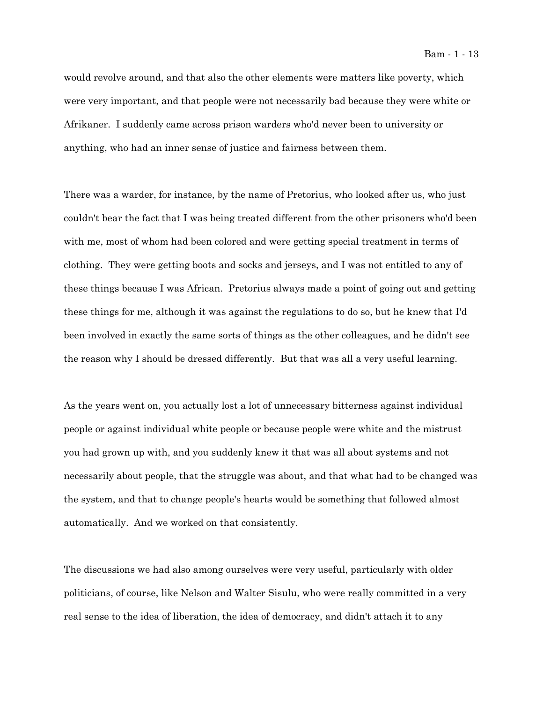would revolve around, and that also the other elements were matters like poverty, which were very important, and that people were not necessarily bad because they were white or Afrikaner. I suddenly came across prison warders who'd never been to university or anything, who had an inner sense of justice and fairness between them.

There was a warder, for instance, by the name of Pretorius, who looked after us, who just couldn't bear the fact that I was being treated different from the other prisoners who'd been with me, most of whom had been colored and were getting special treatment in terms of clothing. They were getting boots and socks and jerseys, and I was not entitled to any of these things because I was African. Pretorius always made a point of going out and getting these things for me, although it was against the regulations to do so, but he knew that I'd been involved in exactly the same sorts of things as the other colleagues, and he didn't see the reason why I should be dressed differently. But that was all a very useful learning.

As the years went on, you actually lost a lot of unnecessary bitterness against individual people or against individual white people or because people were white and the mistrust you had grown up with, and you suddenly knew it that was all about systems and not necessarily about people, that the struggle was about, and that what had to be changed was the system, and that to change people's hearts would be something that followed almost automatically. And we worked on that consistently.

The discussions we had also among ourselves were very useful, particularly with older politicians, of course, like Nelson and Walter Sisulu, who were really committed in a very real sense to the idea of liberation, the idea of democracy, and didn't attach it to any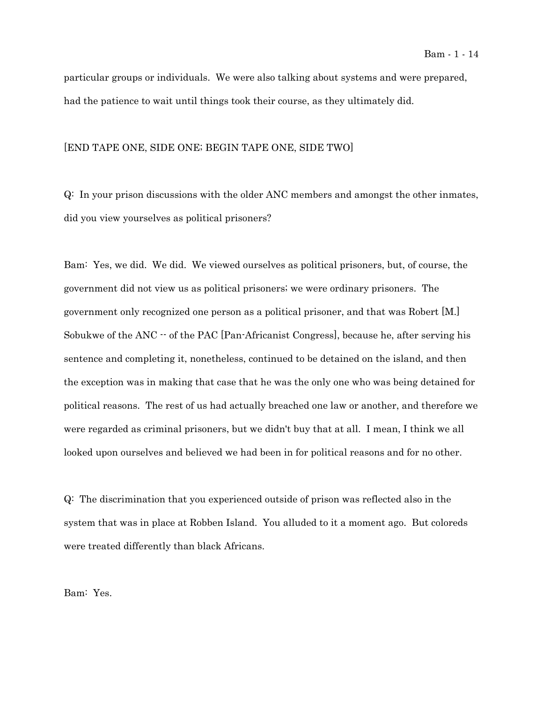particular groups or individuals. We were also talking about systems and were prepared, had the patience to wait until things took their course, as they ultimately did.

## [END TAPE ONE, SIDE ONE; BEGIN TAPE ONE, SIDE TWO]

Q: In your prison discussions with the older ANC members and amongst the other inmates, did you view yourselves as political prisoners?

Bam: Yes, we did. We did. We viewed ourselves as political prisoners, but, of course, the government did not view us as political prisoners; we were ordinary prisoners. The government only recognized one person as a political prisoner, and that was Robert [M.] Sobukwe of the ANC  $-$  of the PAC [Pan-Africanist Congress], because he, after serving his sentence and completing it, nonetheless, continued to be detained on the island, and then the exception was in making that case that he was the only one who was being detained for political reasons. The rest of us had actually breached one law or another, and therefore we were regarded as criminal prisoners, but we didn't buy that at all. I mean, I think we all looked upon ourselves and believed we had been in for political reasons and for no other.

Q: The discrimination that you experienced outside of prison was reflected also in the system that was in place at Robben Island. You alluded to it a moment ago. But coloreds were treated differently than black Africans.

Bam: Yes.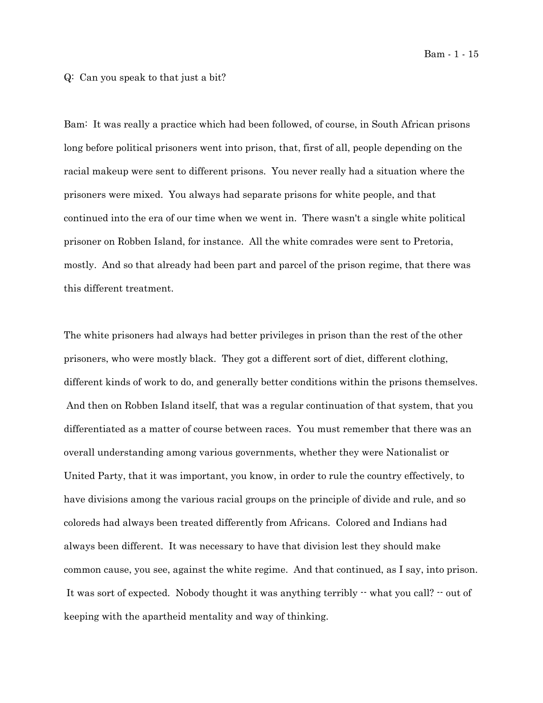## Q: Can you speak to that just a bit?

Bam: It was really a practice which had been followed, of course, in South African prisons long before political prisoners went into prison, that, first of all, people depending on the racial makeup were sent to different prisons. You never really had a situation where the prisoners were mixed. You always had separate prisons for white people, and that continued into the era of our time when we went in. There wasn't a single white political prisoner on Robben Island, for instance. All the white comrades were sent to Pretoria, mostly. And so that already had been part and parcel of the prison regime, that there was this different treatment.

The white prisoners had always had better privileges in prison than the rest of the other prisoners, who were mostly black. They got a different sort of diet, different clothing, different kinds of work to do, and generally better conditions within the prisons themselves. And then on Robben Island itself, that was a regular continuation of that system, that you differentiated as a matter of course between races. You must remember that there was an overall understanding among various governments, whether they were Nationalist or United Party, that it was important, you know, in order to rule the country effectively, to have divisions among the various racial groups on the principle of divide and rule, and so coloreds had always been treated differently from Africans. Colored and Indians had always been different. It was necessary to have that division lest they should make common cause, you see, against the white regime. And that continued, as I say, into prison. It was sort of expected. Nobody thought it was anything terribly -- what you call? -- out of keeping with the apartheid mentality and way of thinking.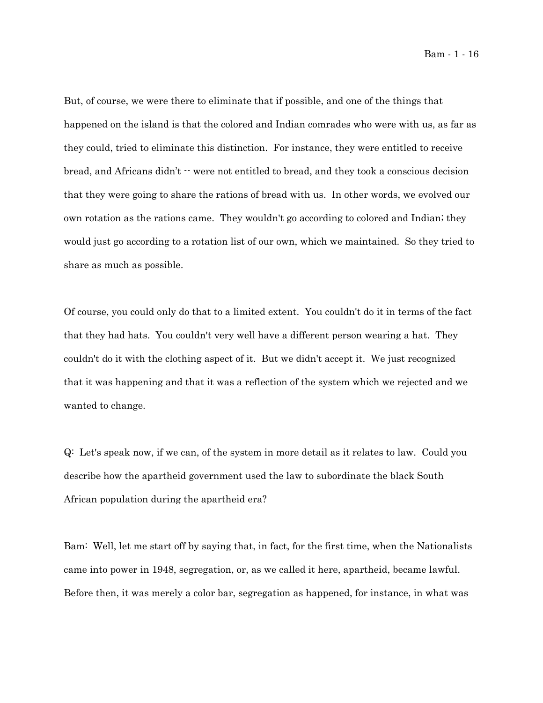Bam - 1 - 16

But, of course, we were there to eliminate that if possible, and one of the things that happened on the island is that the colored and Indian comrades who were with us, as far as they could, tried to eliminate this distinction. For instance, they were entitled to receive bread, and Africans didn't  $\cdot$  were not entitled to bread, and they took a conscious decision that they were going to share the rations of bread with us. In other words, we evolved our own rotation as the rations came. They wouldn't go according to colored and Indian; they would just go according to a rotation list of our own, which we maintained. So they tried to share as much as possible.

Of course, you could only do that to a limited extent. You couldn't do it in terms of the fact that they had hats. You couldn't very well have a different person wearing a hat. They couldn't do it with the clothing aspect of it. But we didn't accept it. We just recognized that it was happening and that it was a reflection of the system which we rejected and we wanted to change.

Q: Let's speak now, if we can, of the system in more detail as it relates to law. Could you describe how the apartheid government used the law to subordinate the black South African population during the apartheid era?

Bam: Well, let me start off by saying that, in fact, for the first time, when the Nationalists came into power in 1948, segregation, or, as we called it here, apartheid, became lawful. Before then, it was merely a color bar, segregation as happened, for instance, in what was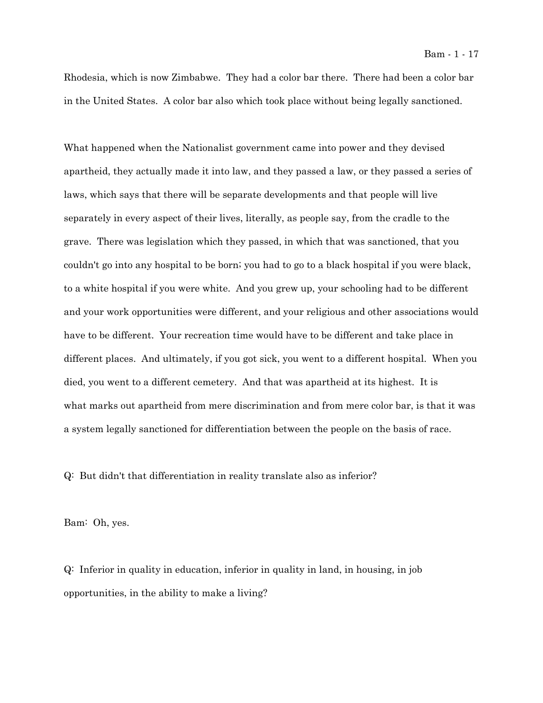Rhodesia, which is now Zimbabwe. They had a color bar there. There had been a color bar in the United States. A color bar also which took place without being legally sanctioned.

What happened when the Nationalist government came into power and they devised apartheid, they actually made it into law, and they passed a law, or they passed a series of laws, which says that there will be separate developments and that people will live separately in every aspect of their lives, literally, as people say, from the cradle to the grave. There was legislation which they passed, in which that was sanctioned, that you couldn't go into any hospital to be born; you had to go to a black hospital if you were black, to a white hospital if you were white. And you grew up, your schooling had to be different and your work opportunities were different, and your religious and other associations would have to be different. Your recreation time would have to be different and take place in different places. And ultimately, if you got sick, you went to a different hospital. When you died, you went to a different cemetery. And that was apartheid at its highest. It is what marks out apartheid from mere discrimination and from mere color bar, is that it was a system legally sanctioned for differentiation between the people on the basis of race.

Q: But didn't that differentiation in reality translate also as inferior?

Bam: Oh, yes.

Q: Inferior in quality in education, inferior in quality in land, in housing, in job opportunities, in the ability to make a living?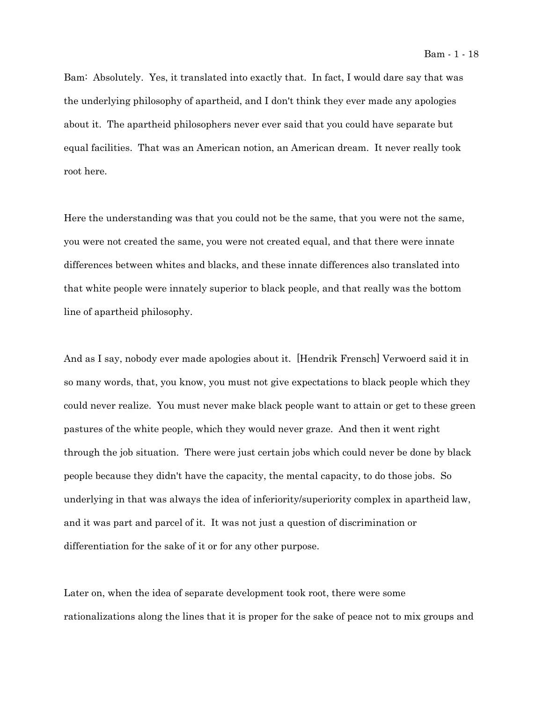Bam: Absolutely. Yes, it translated into exactly that. In fact, I would dare say that was the underlying philosophy of apartheid, and I don't think they ever made any apologies about it. The apartheid philosophers never ever said that you could have separate but equal facilities. That was an American notion, an American dream. It never really took root here.

Here the understanding was that you could not be the same, that you were not the same, you were not created the same, you were not created equal, and that there were innate differences between whites and blacks, and these innate differences also translated into that white people were innately superior to black people, and that really was the bottom line of apartheid philosophy.

And as I say, nobody ever made apologies about it. [Hendrik Frensch] Verwoerd said it in so many words, that, you know, you must not give expectations to black people which they could never realize. You must never make black people want to attain or get to these green pastures of the white people, which they would never graze. And then it went right through the job situation. There were just certain jobs which could never be done by black people because they didn't have the capacity, the mental capacity, to do those jobs. So underlying in that was always the idea of inferiority/superiority complex in apartheid law, and it was part and parcel of it. It was not just a question of discrimination or differentiation for the sake of it or for any other purpose.

Later on, when the idea of separate development took root, there were some rationalizations along the lines that it is proper for the sake of peace not to mix groups and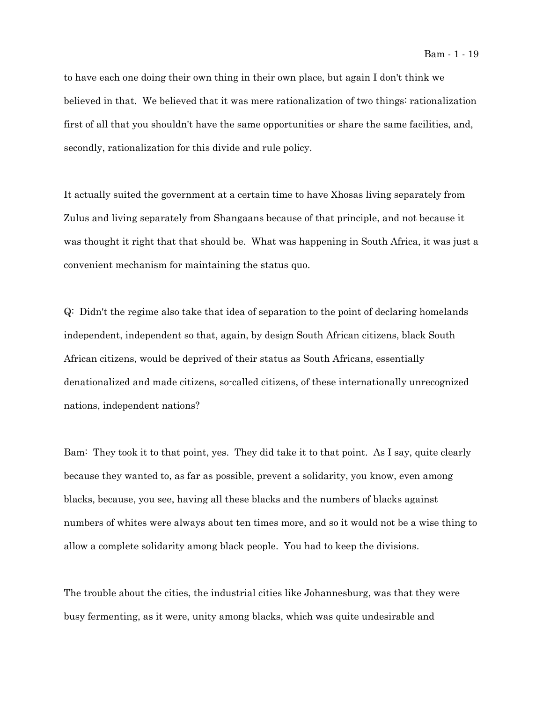to have each one doing their own thing in their own place, but again I don't think we believed in that. We believed that it was mere rationalization of two things: rationalization first of all that you shouldn't have the same opportunities or share the same facilities, and, secondly, rationalization for this divide and rule policy.

It actually suited the government at a certain time to have Xhosas living separately from Zulus and living separately from Shangaans because of that principle, and not because it was thought it right that that should be. What was happening in South Africa, it was just a convenient mechanism for maintaining the status quo.

Q: Didn't the regime also take that idea of separation to the point of declaring homelands independent, independent so that, again, by design South African citizens, black South African citizens, would be deprived of their status as South Africans, essentially denationalized and made citizens, so-called citizens, of these internationally unrecognized nations, independent nations?

Bam: They took it to that point, yes. They did take it to that point. As I say, quite clearly because they wanted to, as far as possible, prevent a solidarity, you know, even among blacks, because, you see, having all these blacks and the numbers of blacks against numbers of whites were always about ten times more, and so it would not be a wise thing to allow a complete solidarity among black people. You had to keep the divisions.

The trouble about the cities, the industrial cities like Johannesburg, was that they were busy fermenting, as it were, unity among blacks, which was quite undesirable and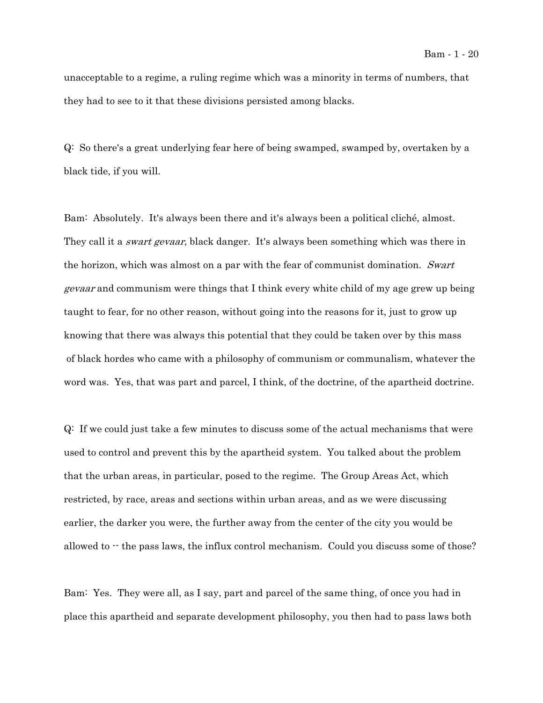unacceptable to a regime, a ruling regime which was a minority in terms of numbers, that they had to see to it that these divisions persisted among blacks.

Q: So there's a great underlying fear here of being swamped, swamped by, overtaken by a black tide, if you will.

Bam: Absolutely. It's always been there and it's always been a political cliché, almost. They call it a *swart gevaar*, black danger. It's always been something which was there in the horizon, which was almost on a par with the fear of communist domination. Swart gevaar and communism were things that I think every white child of my age grew up being taught to fear, for no other reason, without going into the reasons for it, just to grow up knowing that there was always this potential that they could be taken over by this mass of black hordes who came with a philosophy of communism or communalism, whatever the word was. Yes, that was part and parcel, I think, of the doctrine, of the apartheid doctrine.

Q: If we could just take a few minutes to discuss some of the actual mechanisms that were used to control and prevent this by the apartheid system. You talked about the problem that the urban areas, in particular, posed to the regime. The Group Areas Act, which restricted, by race, areas and sections within urban areas, and as we were discussing earlier, the darker you were, the further away from the center of the city you would be allowed to  $-$  the pass laws, the influx control mechanism. Could you discuss some of those?

Bam: Yes. They were all, as I say, part and parcel of the same thing, of once you had in place this apartheid and separate development philosophy, you then had to pass laws both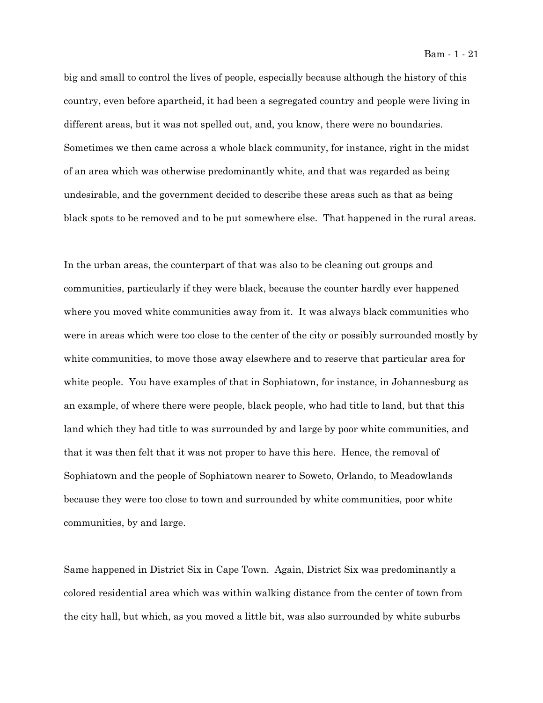big and small to control the lives of people, especially because although the history of this country, even before apartheid, it had been a segregated country and people were living in different areas, but it was not spelled out, and, you know, there were no boundaries. Sometimes we then came across a whole black community, for instance, right in the midst of an area which was otherwise predominantly white, and that was regarded as being undesirable, and the government decided to describe these areas such as that as being black spots to be removed and to be put somewhere else. That happened in the rural areas.

In the urban areas, the counterpart of that was also to be cleaning out groups and communities, particularly if they were black, because the counter hardly ever happened where you moved white communities away from it. It was always black communities who were in areas which were too close to the center of the city or possibly surrounded mostly by white communities, to move those away elsewhere and to reserve that particular area for white people. You have examples of that in Sophiatown, for instance, in Johannesburg as an example, of where there were people, black people, who had title to land, but that this land which they had title to was surrounded by and large by poor white communities, and that it was then felt that it was not proper to have this here. Hence, the removal of Sophiatown and the people of Sophiatown nearer to Soweto, Orlando, to Meadowlands because they were too close to town and surrounded by white communities, poor white communities, by and large.

Same happened in District Six in Cape Town. Again, District Six was predominantly a colored residential area which was within walking distance from the center of town from the city hall, but which, as you moved a little bit, was also surrounded by white suburbs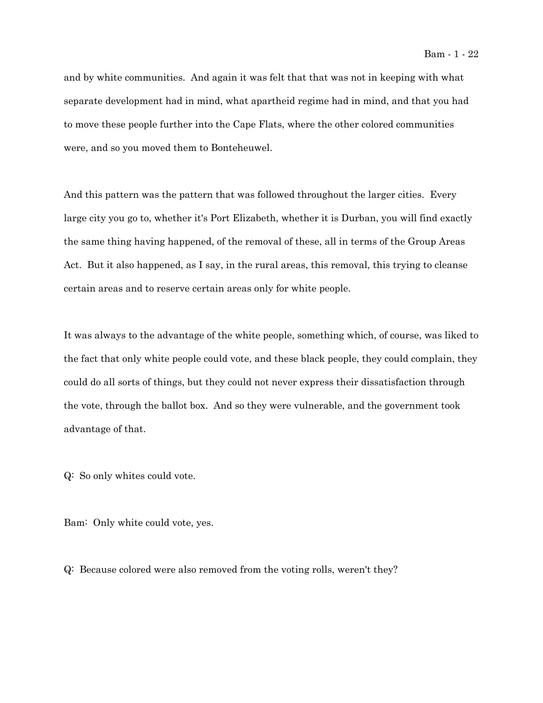and by white communities. And again it was felt that that was not in keeping with what separate development had in mind, what apartheid regime had in mind, and that you had to move these people further into the Cape Flats, where the other colored communities were, and so you moved them to Bonteheuwel.

And this pattern was the pattern that was followed throughout the larger cities. Every large city you go to, whether it's Port Elizabeth, whether it is Durban, you will find exactly the same thing having happened, of the removal of these, all in terms of the Group Areas Act. But it also happened, as I say, in the rural areas, this removal, this trying to cleanse certain areas and to reserve certain areas only for white people.

It was always to the advantage of the white people, something which, of course, was liked to the fact that only white people could vote, and these black people, they could complain, they could do all sorts of things, but they could not never express their dissatisfaction through the vote, through the ballot box. And so they were vulnerable, and the government took advantage of that.

Q: So only whites could vote.

Bam: Only white could vote, yes.

Q: Because colored were also removed from the voting rolls, weren't they?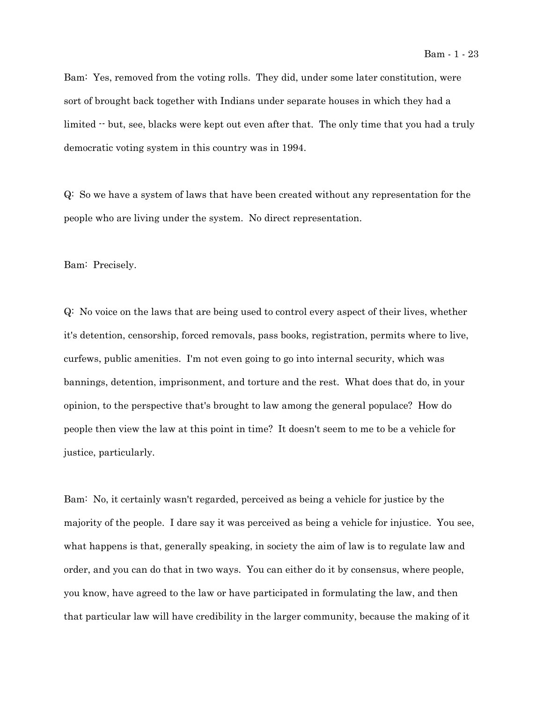Bam: Yes, removed from the voting rolls. They did, under some later constitution, were sort of brought back together with Indians under separate houses in which they had a limited  $\cdot$  but, see, blacks were kept out even after that. The only time that you had a truly democratic voting system in this country was in 1994.

Q: So we have a system of laws that have been created without any representation for the people who are living under the system. No direct representation.

Bam: Precisely.

Q: No voice on the laws that are being used to control every aspect of their lives, whether it's detention, censorship, forced removals, pass books, registration, permits where to live, curfews, public amenities. I'm not even going to go into internal security, which was bannings, detention, imprisonment, and torture and the rest. What does that do, in your opinion, to the perspective that's brought to law among the general populace? How do people then view the law at this point in time? It doesn't seem to me to be a vehicle for justice, particularly.

Bam: No, it certainly wasn't regarded, perceived as being a vehicle for justice by the majority of the people. I dare say it was perceived as being a vehicle for injustice. You see, what happens is that, generally speaking, in society the aim of law is to regulate law and order, and you can do that in two ways. You can either do it by consensus, where people, you know, have agreed to the law or have participated in formulating the law, and then that particular law will have credibility in the larger community, because the making of it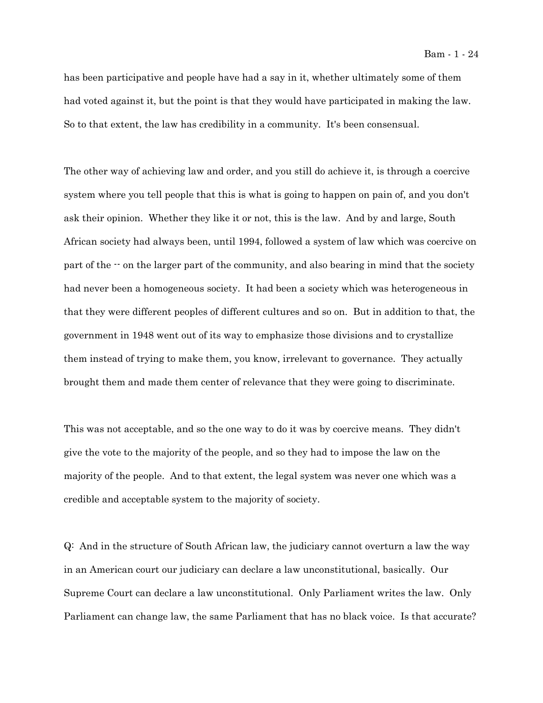has been participative and people have had a say in it, whether ultimately some of them had voted against it, but the point is that they would have participated in making the law. So to that extent, the law has credibility in a community. It's been consensual.

The other way of achieving law and order, and you still do achieve it, is through a coercive system where you tell people that this is what is going to happen on pain of, and you don't ask their opinion. Whether they like it or not, this is the law. And by and large, South African society had always been, until 1994, followed a system of law which was coercive on part of the  $\cdot$  on the larger part of the community, and also bearing in mind that the society had never been a homogeneous society. It had been a society which was heterogeneous in that they were different peoples of different cultures and so on. But in addition to that, the government in 1948 went out of its way to emphasize those divisions and to crystallize them instead of trying to make them, you know, irrelevant to governance. They actually brought them and made them center of relevance that they were going to discriminate.

This was not acceptable, and so the one way to do it was by coercive means. They didn't give the vote to the majority of the people, and so they had to impose the law on the majority of the people. And to that extent, the legal system was never one which was a credible and acceptable system to the majority of society.

Q: And in the structure of South African law, the judiciary cannot overturn a law the way in an American court our judiciary can declare a law unconstitutional, basically. Our Supreme Court can declare a law unconstitutional. Only Parliament writes the law. Only Parliament can change law, the same Parliament that has no black voice. Is that accurate?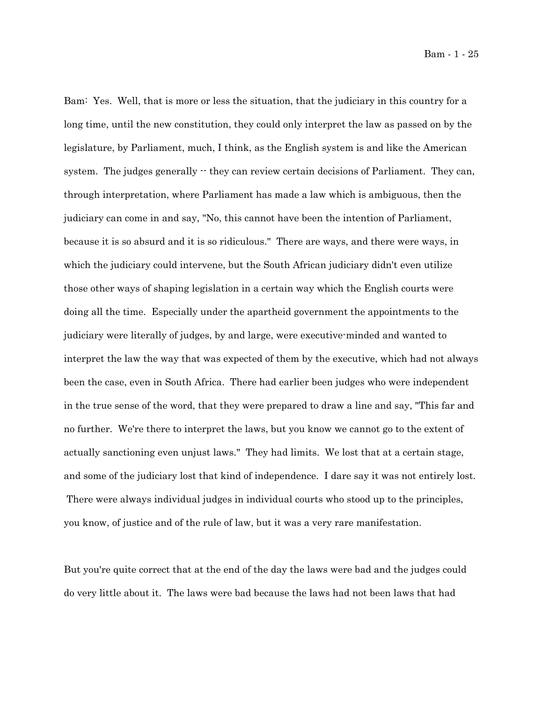Bam: Yes. Well, that is more or less the situation, that the judiciary in this country for a long time, until the new constitution, they could only interpret the law as passed on by the legislature, by Parliament, much, I think, as the English system is and like the American system. The judges generally  $\cdot$  they can review certain decisions of Parliament. They can, through interpretation, where Parliament has made a law which is ambiguous, then the judiciary can come in and say, "No, this cannot have been the intention of Parliament, because it is so absurd and it is so ridiculous." There are ways, and there were ways, in which the judiciary could intervene, but the South African judiciary didn't even utilize those other ways of shaping legislation in a certain way which the English courts were doing all the time. Especially under the apartheid government the appointments to the judiciary were literally of judges, by and large, were executive-minded and wanted to interpret the law the way that was expected of them by the executive, which had not always been the case, even in South Africa. There had earlier been judges who were independent in the true sense of the word, that they were prepared to draw a line and say, "This far and no further. We're there to interpret the laws, but you know we cannot go to the extent of actually sanctioning even unjust laws." They had limits. We lost that at a certain stage, and some of the judiciary lost that kind of independence. I dare say it was not entirely lost. There were always individual judges in individual courts who stood up to the principles, you know, of justice and of the rule of law, but it was a very rare manifestation.

But you're quite correct that at the end of the day the laws were bad and the judges could do very little about it. The laws were bad because the laws had not been laws that had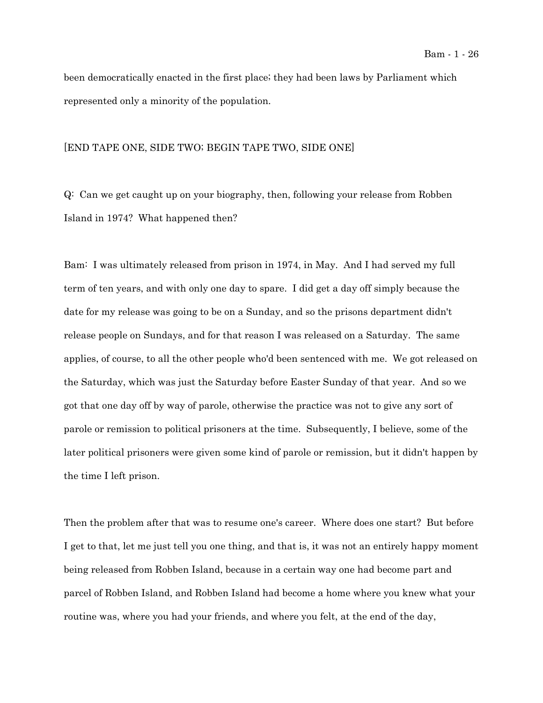been democratically enacted in the first place; they had been laws by Parliament which represented only a minority of the population.

#### [END TAPE ONE, SIDE TWO; BEGIN TAPE TWO, SIDE ONE]

Q: Can we get caught up on your biography, then, following your release from Robben Island in 1974? What happened then?

Bam: I was ultimately released from prison in 1974, in May. And I had served my full term of ten years, and with only one day to spare. I did get a day off simply because the date for my release was going to be on a Sunday, and so the prisons department didn't release people on Sundays, and for that reason I was released on a Saturday. The same applies, of course, to all the other people who'd been sentenced with me. We got released on the Saturday, which was just the Saturday before Easter Sunday of that year. And so we got that one day off by way of parole, otherwise the practice was not to give any sort of parole or remission to political prisoners at the time. Subsequently, I believe, some of the later political prisoners were given some kind of parole or remission, but it didn't happen by the time I left prison.

Then the problem after that was to resume one's career. Where does one start? But before I get to that, let me just tell you one thing, and that is, it was not an entirely happy moment being released from Robben Island, because in a certain way one had become part and parcel of Robben Island, and Robben Island had become a home where you knew what your routine was, where you had your friends, and where you felt, at the end of the day,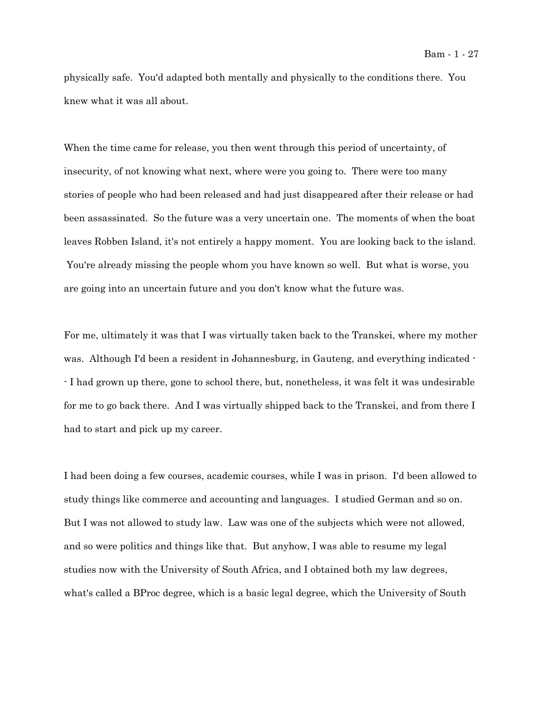physically safe. You'd adapted both mentally and physically to the conditions there. You knew what it was all about.

When the time came for release, you then went through this period of uncertainty, of insecurity, of not knowing what next, where were you going to. There were too many stories of people who had been released and had just disappeared after their release or had been assassinated. So the future was a very uncertain one. The moments of when the boat leaves Robben Island, it's not entirely a happy moment. You are looking back to the island. You're already missing the people whom you have known so well. But what is worse, you are going into an uncertain future and you don't know what the future was.

For me, ultimately it was that I was virtually taken back to the Transkei, where my mother was. Although I'd been a resident in Johannesburg, in Gauteng, and everything indicated -- I had grown up there, gone to school there, but, nonetheless, it was felt it was undesirable for me to go back there. And I was virtually shipped back to the Transkei, and from there I had to start and pick up my career.

I had been doing a few courses, academic courses, while I was in prison. I'd been allowed to study things like commerce and accounting and languages. I studied German and so on. But I was not allowed to study law. Law was one of the subjects which were not allowed, and so were politics and things like that. But anyhow, I was able to resume my legal studies now with the University of South Africa, and I obtained both my law degrees, what's called a BProc degree, which is a basic legal degree, which the University of South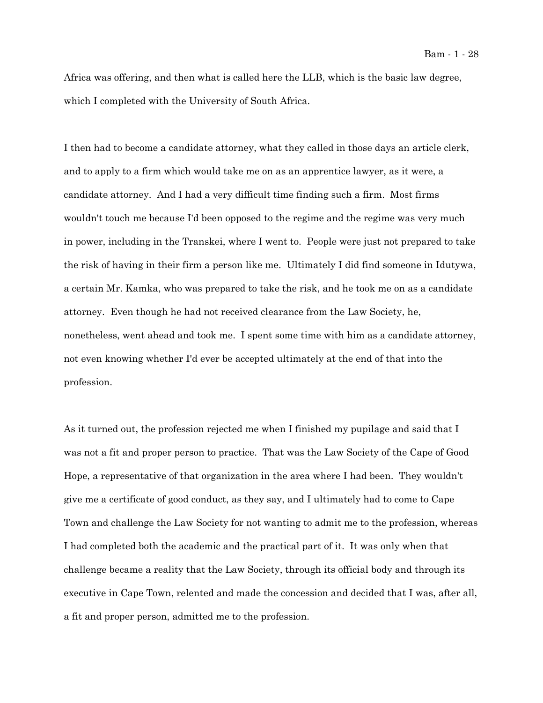Africa was offering, and then what is called here the LLB, which is the basic law degree, which I completed with the University of South Africa.

I then had to become a candidate attorney, what they called in those days an article clerk, and to apply to a firm which would take me on as an apprentice lawyer, as it were, a candidate attorney. And I had a very difficult time finding such a firm. Most firms wouldn't touch me because I'd been opposed to the regime and the regime was very much in power, including in the Transkei, where I went to. People were just not prepared to take the risk of having in their firm a person like me. Ultimately I did find someone in Idutywa, a certain Mr. Kamka, who was prepared to take the risk, and he took me on as a candidate attorney. Even though he had not received clearance from the Law Society, he, nonetheless, went ahead and took me. I spent some time with him as a candidate attorney, not even knowing whether I'd ever be accepted ultimately at the end of that into the profession.

As it turned out, the profession rejected me when I finished my pupilage and said that I was not a fit and proper person to practice. That was the Law Society of the Cape of Good Hope, a representative of that organization in the area where I had been. They wouldn't give me a certificate of good conduct, as they say, and I ultimately had to come to Cape Town and challenge the Law Society for not wanting to admit me to the profession, whereas I had completed both the academic and the practical part of it. It was only when that challenge became a reality that the Law Society, through its official body and through its executive in Cape Town, relented and made the concession and decided that I was, after all, a fit and proper person, admitted me to the profession.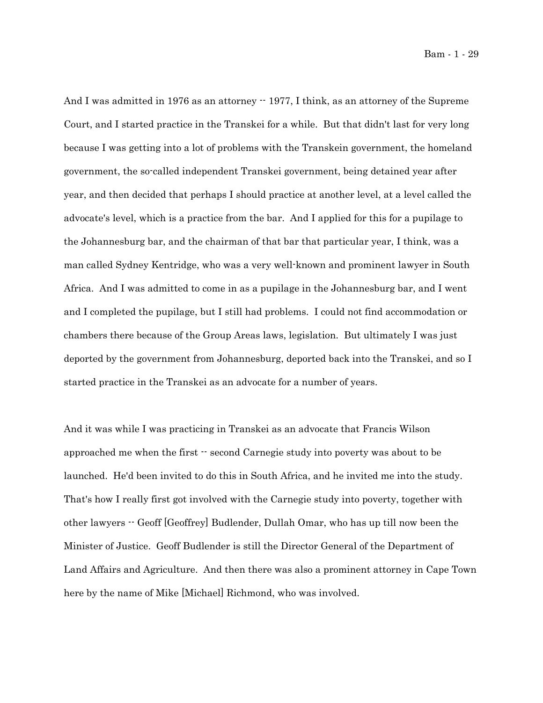And I was admitted in 1976 as an attorney  $-$  1977, I think, as an attorney of the Supreme Court, and I started practice in the Transkei for a while. But that didn't last for very long because I was getting into a lot of problems with the Transkein government, the homeland government, the so-called independent Transkei government, being detained year after year, and then decided that perhaps I should practice at another level, at a level called the advocate's level, which is a practice from the bar. And I applied for this for a pupilage to the Johannesburg bar, and the chairman of that bar that particular year, I think, was a man called Sydney Kentridge, who was a very well-known and prominent lawyer in South Africa. And I was admitted to come in as a pupilage in the Johannesburg bar, and I went and I completed the pupilage, but I still had problems. I could not find accommodation or chambers there because of the Group Areas laws, legislation. But ultimately I was just deported by the government from Johannesburg, deported back into the Transkei, and so I started practice in the Transkei as an advocate for a number of years.

And it was while I was practicing in Transkei as an advocate that Francis Wilson approached me when the first -- second Carnegie study into poverty was about to be launched. He'd been invited to do this in South Africa, and he invited me into the study. That's how I really first got involved with the Carnegie study into poverty, together with other lawyers -- Geoff [Geoffrey] Budlender, Dullah Omar, who has up till now been the Minister of Justice. Geoff Budlender is still the Director General of the Department of Land Affairs and Agriculture. And then there was also a prominent attorney in Cape Town here by the name of Mike [Michael] Richmond, who was involved.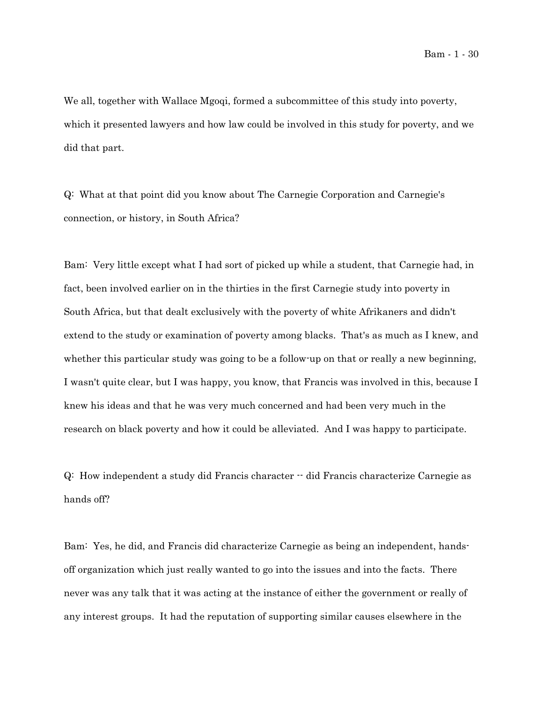We all, together with Wallace Mgoqi, formed a subcommittee of this study into poverty, which it presented lawyers and how law could be involved in this study for poverty, and we did that part.

Q: What at that point did you know about The Carnegie Corporation and Carnegie's connection, or history, in South Africa?

Bam: Very little except what I had sort of picked up while a student, that Carnegie had, in fact, been involved earlier on in the thirties in the first Carnegie study into poverty in South Africa, but that dealt exclusively with the poverty of white Afrikaners and didn't extend to the study or examination of poverty among blacks. That's as much as I knew, and whether this particular study was going to be a follow-up on that or really a new beginning, I wasn't quite clear, but I was happy, you know, that Francis was involved in this, because I knew his ideas and that he was very much concerned and had been very much in the research on black poverty and how it could be alleviated. And I was happy to participate.

Q: How independent a study did Francis character -- did Francis characterize Carnegie as hands off?

Bam: Yes, he did, and Francis did characterize Carnegie as being an independent, handsoff organization which just really wanted to go into the issues and into the facts. There never was any talk that it was acting at the instance of either the government or really of any interest groups. It had the reputation of supporting similar causes elsewhere in the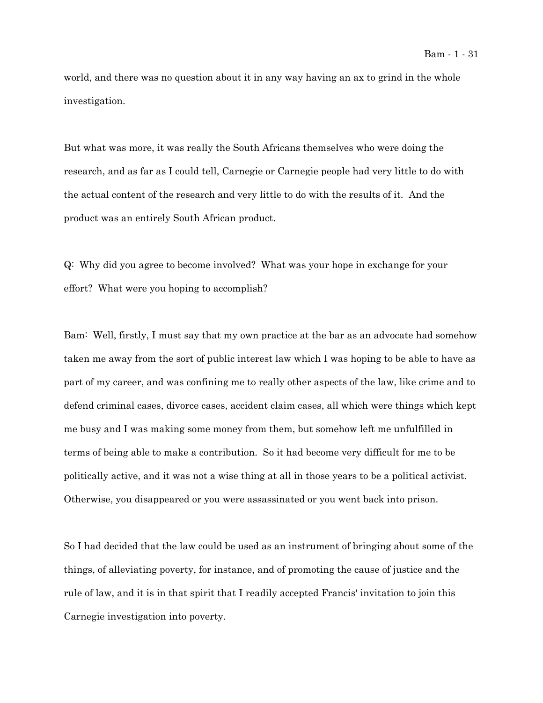world, and there was no question about it in any way having an ax to grind in the whole investigation.

But what was more, it was really the South Africans themselves who were doing the research, and as far as I could tell, Carnegie or Carnegie people had very little to do with the actual content of the research and very little to do with the results of it. And the product was an entirely South African product.

Q: Why did you agree to become involved? What was your hope in exchange for your effort? What were you hoping to accomplish?

Bam: Well, firstly, I must say that my own practice at the bar as an advocate had somehow taken me away from the sort of public interest law which I was hoping to be able to have as part of my career, and was confining me to really other aspects of the law, like crime and to defend criminal cases, divorce cases, accident claim cases, all which were things which kept me busy and I was making some money from them, but somehow left me unfulfilled in terms of being able to make a contribution. So it had become very difficult for me to be politically active, and it was not a wise thing at all in those years to be a political activist. Otherwise, you disappeared or you were assassinated or you went back into prison.

So I had decided that the law could be used as an instrument of bringing about some of the things, of alleviating poverty, for instance, and of promoting the cause of justice and the rule of law, and it is in that spirit that I readily accepted Francis' invitation to join this Carnegie investigation into poverty.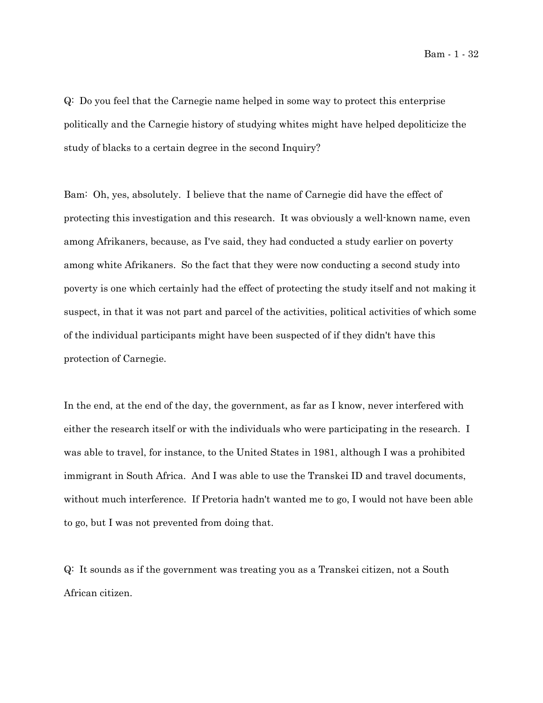Bam - 1 - 32

Q: Do you feel that the Carnegie name helped in some way to protect this enterprise politically and the Carnegie history of studying whites might have helped depoliticize the study of blacks to a certain degree in the second Inquiry?

Bam: Oh, yes, absolutely. I believe that the name of Carnegie did have the effect of protecting this investigation and this research. It was obviously a well-known name, even among Afrikaners, because, as I've said, they had conducted a study earlier on poverty among white Afrikaners. So the fact that they were now conducting a second study into poverty is one which certainly had the effect of protecting the study itself and not making it suspect, in that it was not part and parcel of the activities, political activities of which some of the individual participants might have been suspected of if they didn't have this protection of Carnegie.

In the end, at the end of the day, the government, as far as I know, never interfered with either the research itself or with the individuals who were participating in the research. I was able to travel, for instance, to the United States in 1981, although I was a prohibited immigrant in South Africa. And I was able to use the Transkei ID and travel documents, without much interference. If Pretoria hadn't wanted me to go, I would not have been able to go, but I was not prevented from doing that.

Q: It sounds as if the government was treating you as a Transkei citizen, not a South African citizen.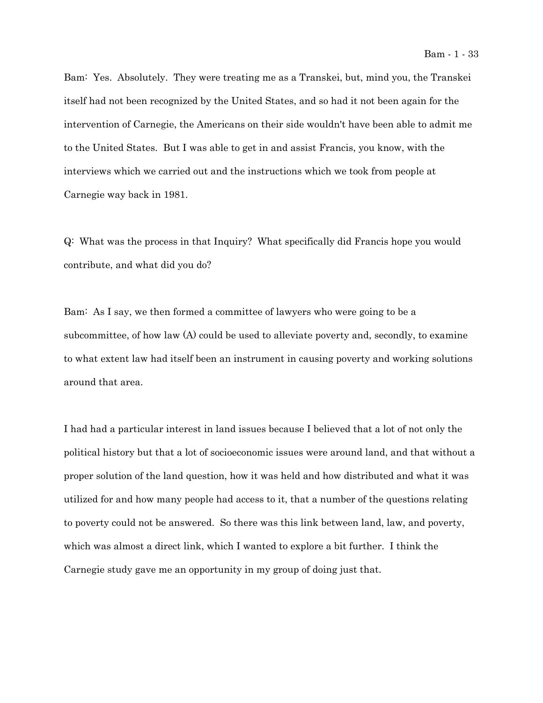Bam: Yes. Absolutely. They were treating me as a Transkei, but, mind you, the Transkei itself had not been recognized by the United States, and so had it not been again for the intervention of Carnegie, the Americans on their side wouldn't have been able to admit me to the United States. But I was able to get in and assist Francis, you know, with the interviews which we carried out and the instructions which we took from people at Carnegie way back in 1981.

Q: What was the process in that Inquiry? What specifically did Francis hope you would contribute, and what did you do?

Bam: As I say, we then formed a committee of lawyers who were going to be a subcommittee, of how law (A) could be used to alleviate poverty and, secondly, to examine to what extent law had itself been an instrument in causing poverty and working solutions around that area.

I had had a particular interest in land issues because I believed that a lot of not only the political history but that a lot of socioeconomic issues were around land, and that without a proper solution of the land question, how it was held and how distributed and what it was utilized for and how many people had access to it, that a number of the questions relating to poverty could not be answered. So there was this link between land, law, and poverty, which was almost a direct link, which I wanted to explore a bit further. I think the Carnegie study gave me an opportunity in my group of doing just that.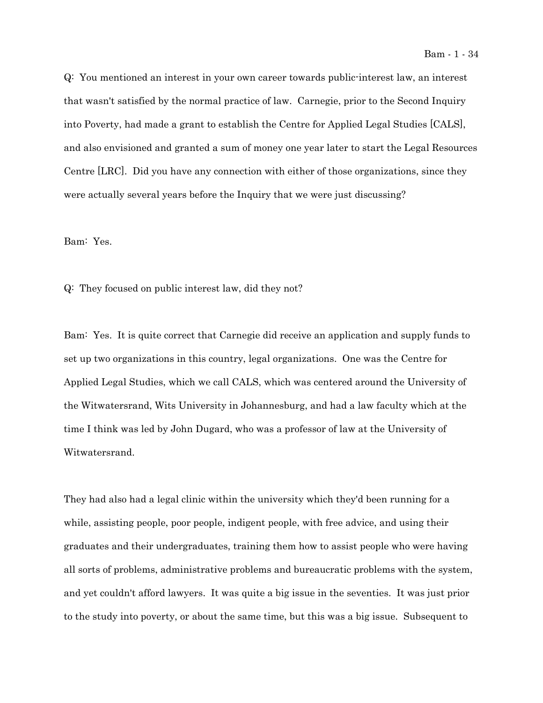Q: You mentioned an interest in your own career towards public-interest law, an interest that wasn't satisfied by the normal practice of law. Carnegie, prior to the Second Inquiry into Poverty, had made a grant to establish the Centre for Applied Legal Studies [CALS], and also envisioned and granted a sum of money one year later to start the Legal Resources Centre [LRC]. Did you have any connection with either of those organizations, since they were actually several years before the Inquiry that we were just discussing?

Bam: Yes.

Q: They focused on public interest law, did they not?

Bam: Yes. It is quite correct that Carnegie did receive an application and supply funds to set up two organizations in this country, legal organizations. One was the Centre for Applied Legal Studies, which we call CALS, which was centered around the University of the Witwatersrand, Wits University in Johannesburg, and had a law faculty which at the time I think was led by John Dugard, who was a professor of law at the University of Witwatersrand.

They had also had a legal clinic within the university which they'd been running for a while, assisting people, poor people, indigent people, with free advice, and using their graduates and their undergraduates, training them how to assist people who were having all sorts of problems, administrative problems and bureaucratic problems with the system, and yet couldn't afford lawyers. It was quite a big issue in the seventies. It was just prior to the study into poverty, or about the same time, but this was a big issue. Subsequent to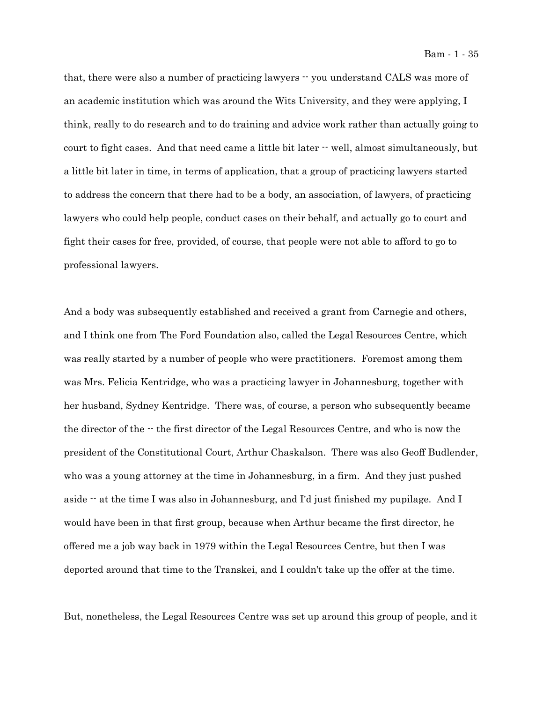that, there were also a number of practicing lawyers  $-$  you understand CALS was more of an academic institution which was around the Wits University, and they were applying, I think, really to do research and to do training and advice work rather than actually going to court to fight cases. And that need came a little bit later  $\cdot \cdot$  well, almost simultaneously, but a little bit later in time, in terms of application, that a group of practicing lawyers started to address the concern that there had to be a body, an association, of lawyers, of practicing lawyers who could help people, conduct cases on their behalf, and actually go to court and fight their cases for free, provided, of course, that people were not able to afford to go to professional lawyers.

And a body was subsequently established and received a grant from Carnegie and others, and I think one from The Ford Foundation also, called the Legal Resources Centre, which was really started by a number of people who were practitioners. Foremost among them was Mrs. Felicia Kentridge, who was a practicing lawyer in Johannesburg, together with her husband, Sydney Kentridge. There was, of course, a person who subsequently became the director of the -- the first director of the Legal Resources Centre, and who is now the president of the Constitutional Court, Arthur Chaskalson. There was also Geoff Budlender, who was a young attorney at the time in Johannesburg, in a firm. And they just pushed aside -- at the time I was also in Johannesburg, and I'd just finished my pupilage. And I would have been in that first group, because when Arthur became the first director, he offered me a job way back in 1979 within the Legal Resources Centre, but then I was deported around that time to the Transkei, and I couldn't take up the offer at the time.

But, nonetheless, the Legal Resources Centre was set up around this group of people, and it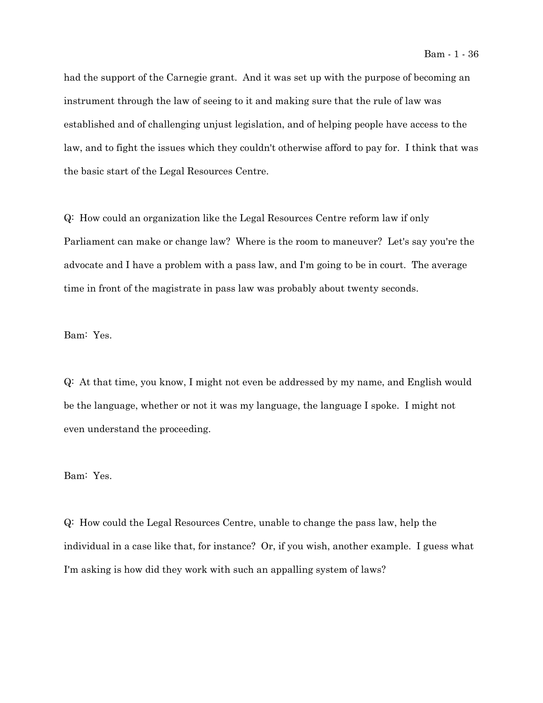had the support of the Carnegie grant. And it was set up with the purpose of becoming an instrument through the law of seeing to it and making sure that the rule of law was established and of challenging unjust legislation, and of helping people have access to the law, and to fight the issues which they couldn't otherwise afford to pay for. I think that was the basic start of the Legal Resources Centre.

Q: How could an organization like the Legal Resources Centre reform law if only Parliament can make or change law? Where is the room to maneuver? Let's say you're the advocate and I have a problem with a pass law, and I'm going to be in court. The average time in front of the magistrate in pass law was probably about twenty seconds.

#### Bam: Yes.

Q: At that time, you know, I might not even be addressed by my name, and English would be the language, whether or not it was my language, the language I spoke. I might not even understand the proceeding.

### Bam: Yes.

Q: How could the Legal Resources Centre, unable to change the pass law, help the individual in a case like that, for instance? Or, if you wish, another example. I guess what I'm asking is how did they work with such an appalling system of laws?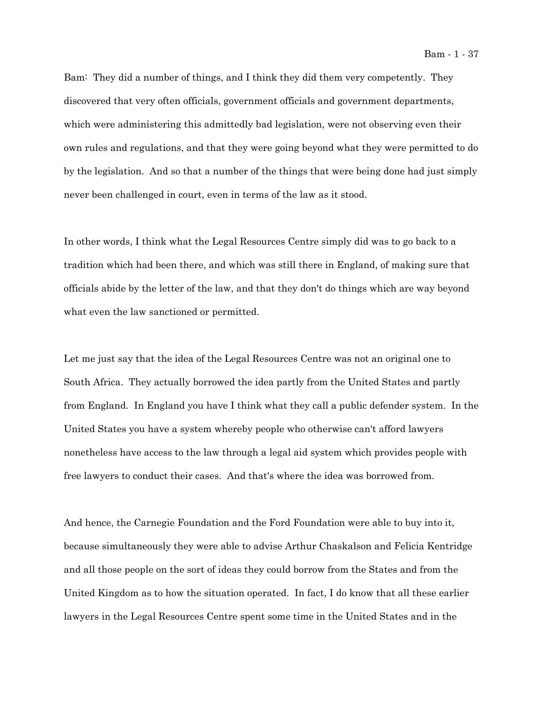Bam: They did a number of things, and I think they did them very competently. They discovered that very often officials, government officials and government departments, which were administering this admittedly bad legislation, were not observing even their own rules and regulations, and that they were going beyond what they were permitted to do by the legislation. And so that a number of the things that were being done had just simply never been challenged in court, even in terms of the law as it stood.

In other words, I think what the Legal Resources Centre simply did was to go back to a tradition which had been there, and which was still there in England, of making sure that officials abide by the letter of the law, and that they don't do things which are way beyond what even the law sanctioned or permitted.

Let me just say that the idea of the Legal Resources Centre was not an original one to South Africa. They actually borrowed the idea partly from the United States and partly from England. In England you have I think what they call a public defender system. In the United States you have a system whereby people who otherwise can't afford lawyers nonetheless have access to the law through a legal aid system which provides people with free lawyers to conduct their cases. And that's where the idea was borrowed from.

And hence, the Carnegie Foundation and the Ford Foundation were able to buy into it, because simultaneously they were able to advise Arthur Chaskalson and Felicia Kentridge and all those people on the sort of ideas they could borrow from the States and from the United Kingdom as to how the situation operated. In fact, I do know that all these earlier lawyers in the Legal Resources Centre spent some time in the United States and in the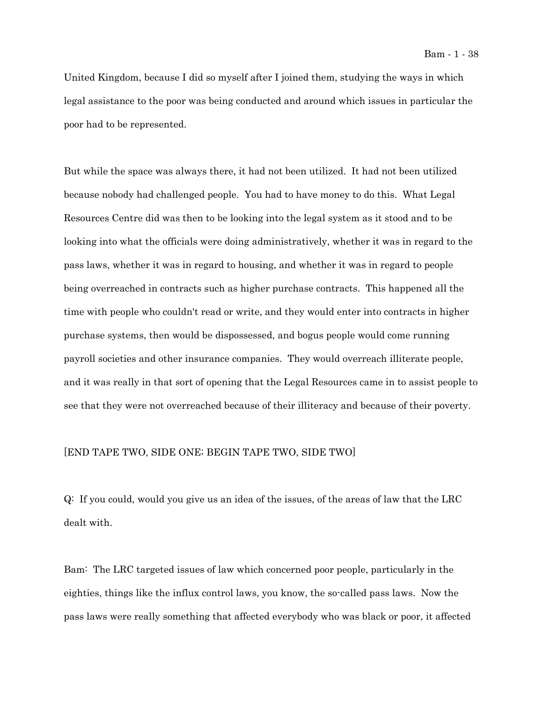United Kingdom, because I did so myself after I joined them, studying the ways in which legal assistance to the poor was being conducted and around which issues in particular the poor had to be represented.

But while the space was always there, it had not been utilized. It had not been utilized because nobody had challenged people. You had to have money to do this. What Legal Resources Centre did was then to be looking into the legal system as it stood and to be looking into what the officials were doing administratively, whether it was in regard to the pass laws, whether it was in regard to housing, and whether it was in regard to people being overreached in contracts such as higher purchase contracts. This happened all the time with people who couldn't read or write, and they would enter into contracts in higher purchase systems, then would be dispossessed, and bogus people would come running payroll societies and other insurance companies. They would overreach illiterate people, and it was really in that sort of opening that the Legal Resources came in to assist people to see that they were not overreached because of their illiteracy and because of their poverty.

#### [END TAPE TWO, SIDE ONE; BEGIN TAPE TWO, SIDE TWO]

Q: If you could, would you give us an idea of the issues, of the areas of law that the LRC dealt with.

Bam: The LRC targeted issues of law which concerned poor people, particularly in the eighties, things like the influx control laws, you know, the so-called pass laws. Now the pass laws were really something that affected everybody who was black or poor, it affected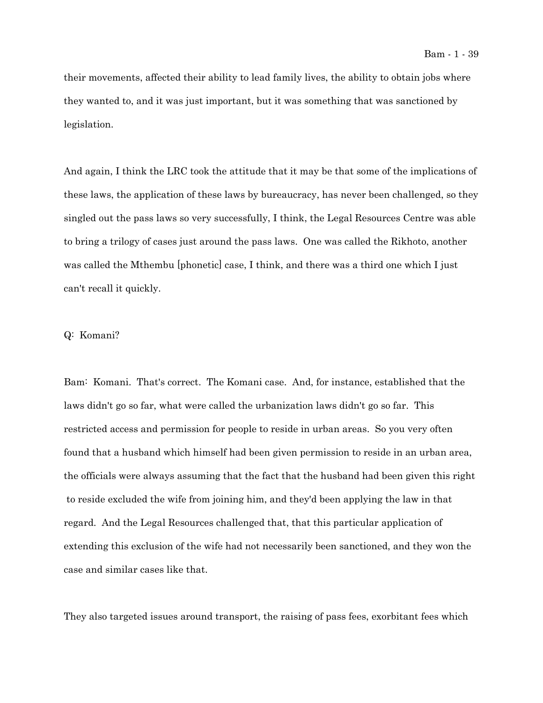their movements, affected their ability to lead family lives, the ability to obtain jobs where they wanted to, and it was just important, but it was something that was sanctioned by legislation.

And again, I think the LRC took the attitude that it may be that some of the implications of these laws, the application of these laws by bureaucracy, has never been challenged, so they singled out the pass laws so very successfully, I think, the Legal Resources Centre was able to bring a trilogy of cases just around the pass laws. One was called the Rikhoto, another was called the Mthembu [phonetic] case, I think, and there was a third one which I just can't recall it quickly.

### Q: Komani?

Bam: Komani. That's correct. The Komani case. And, for instance, established that the laws didn't go so far, what were called the urbanization laws didn't go so far. This restricted access and permission for people to reside in urban areas. So you very often found that a husband which himself had been given permission to reside in an urban area, the officials were always assuming that the fact that the husband had been given this right to reside excluded the wife from joining him, and they'd been applying the law in that regard. And the Legal Resources challenged that, that this particular application of extending this exclusion of the wife had not necessarily been sanctioned, and they won the case and similar cases like that.

They also targeted issues around transport, the raising of pass fees, exorbitant fees which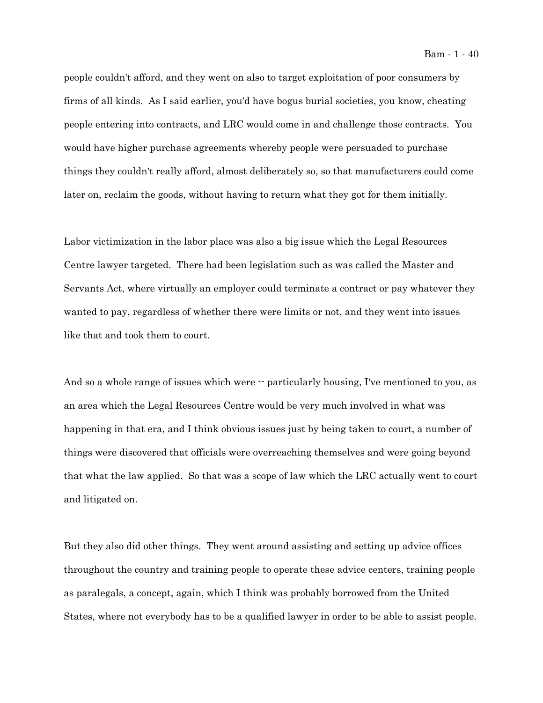people couldn't afford, and they went on also to target exploitation of poor consumers by firms of all kinds. As I said earlier, you'd have bogus burial societies, you know, cheating people entering into contracts, and LRC would come in and challenge those contracts. You would have higher purchase agreements whereby people were persuaded to purchase things they couldn't really afford, almost deliberately so, so that manufacturers could come later on, reclaim the goods, without having to return what they got for them initially.

Labor victimization in the labor place was also a big issue which the Legal Resources Centre lawyer targeted. There had been legislation such as was called the Master and Servants Act, where virtually an employer could terminate a contract or pay whatever they wanted to pay, regardless of whether there were limits or not, and they went into issues like that and took them to court.

And so a whole range of issues which were  $\cdot$  particularly housing, I've mentioned to you, as an area which the Legal Resources Centre would be very much involved in what was happening in that era, and I think obvious issues just by being taken to court, a number of things were discovered that officials were overreaching themselves and were going beyond that what the law applied. So that was a scope of law which the LRC actually went to court and litigated on.

But they also did other things. They went around assisting and setting up advice offices throughout the country and training people to operate these advice centers, training people as paralegals, a concept, again, which I think was probably borrowed from the United States, where not everybody has to be a qualified lawyer in order to be able to assist people.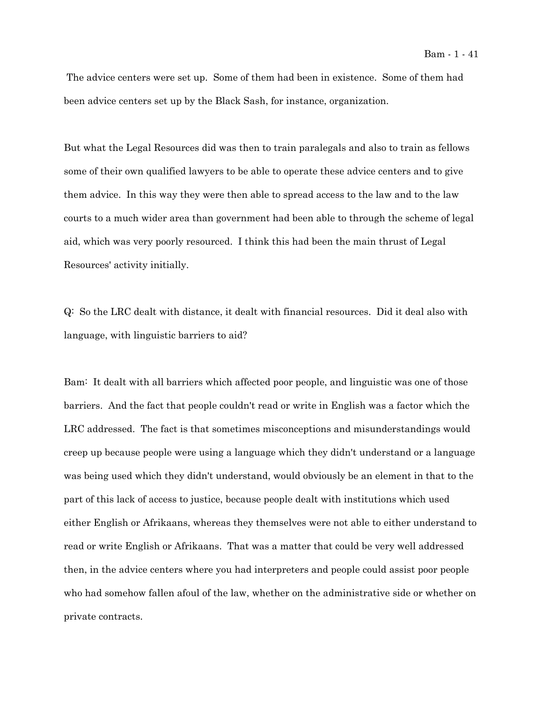The advice centers were set up. Some of them had been in existence. Some of them had been advice centers set up by the Black Sash, for instance, organization.

But what the Legal Resources did was then to train paralegals and also to train as fellows some of their own qualified lawyers to be able to operate these advice centers and to give them advice. In this way they were then able to spread access to the law and to the law courts to a much wider area than government had been able to through the scheme of legal aid, which was very poorly resourced. I think this had been the main thrust of Legal Resources' activity initially.

Q: So the LRC dealt with distance, it dealt with financial resources. Did it deal also with language, with linguistic barriers to aid?

Bam: It dealt with all barriers which affected poor people, and linguistic was one of those barriers. And the fact that people couldn't read or write in English was a factor which the LRC addressed. The fact is that sometimes misconceptions and misunderstandings would creep up because people were using a language which they didn't understand or a language was being used which they didn't understand, would obviously be an element in that to the part of this lack of access to justice, because people dealt with institutions which used either English or Afrikaans, whereas they themselves were not able to either understand to read or write English or Afrikaans. That was a matter that could be very well addressed then, in the advice centers where you had interpreters and people could assist poor people who had somehow fallen afoul of the law, whether on the administrative side or whether on private contracts.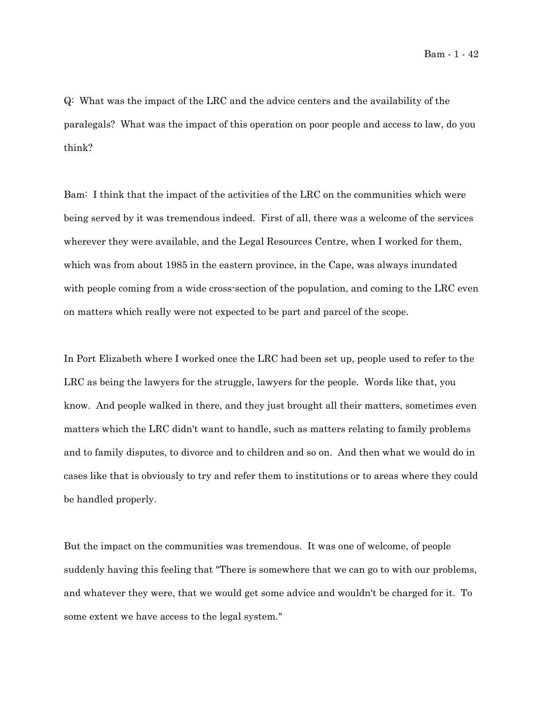Q: What was the impact of the LRC and the advice centers and the availability of the paralegals? What was the impact of this operation on poor people and access to law, do you think?

Bam: I think that the impact of the activities of the LRC on the communities which were being served by it was tremendous indeed. First of all, there was a welcome of the services wherever they were available, and the Legal Resources Centre, when I worked for them, which was from about 1985 in the eastern province, in the Cape, was always inundated with people coming from a wide cross-section of the population, and coming to the LRC even on matters which really were not expected to be part and parcel of the scope.

In Port Elizabeth where I worked once the LRC had been set up, people used to refer to the LRC as being the lawyers for the struggle, lawyers for the people. Words like that, you know. And people walked in there, and they just brought all their matters, sometimes even matters which the LRC didn't want to handle, such as matters relating to family problems and to family disputes, to divorce and to children and so on. And then what we would do in cases like that is obviously to try and refer them to institutions or to areas where they could be handled properly.

But the impact on the communities was tremendous. It was one of welcome, of people suddenly having this feeling that "There is somewhere that we can go to with our problems, and whatever they were, that we would get some advice and wouldn't be charged for it. To some extent we have access to the legal system."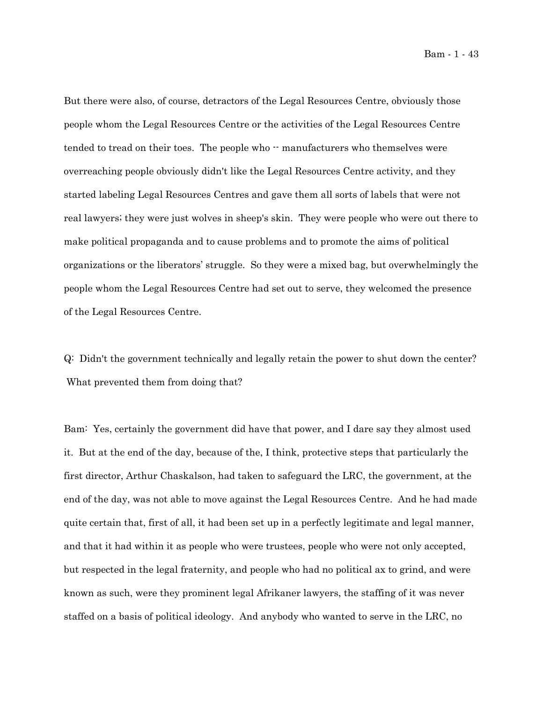Bam - 1 - 43

But there were also, of course, detractors of the Legal Resources Centre, obviously those people whom the Legal Resources Centre or the activities of the Legal Resources Centre tended to tread on their toes. The people who  $\cdot$  manufacturers who themselves were overreaching people obviously didn't like the Legal Resources Centre activity, and they started labeling Legal Resources Centres and gave them all sorts of labels that were not real lawyers; they were just wolves in sheep's skin. They were people who were out there to make political propaganda and to cause problems and to promote the aims of political organizations or the liberators' struggle. So they were a mixed bag, but overwhelmingly the people whom the Legal Resources Centre had set out to serve, they welcomed the presence of the Legal Resources Centre.

Q: Didn't the government technically and legally retain the power to shut down the center? What prevented them from doing that?

Bam: Yes, certainly the government did have that power, and I dare say they almost used it. But at the end of the day, because of the, I think, protective steps that particularly the first director, Arthur Chaskalson, had taken to safeguard the LRC, the government, at the end of the day, was not able to move against the Legal Resources Centre. And he had made quite certain that, first of all, it had been set up in a perfectly legitimate and legal manner, and that it had within it as people who were trustees, people who were not only accepted, but respected in the legal fraternity, and people who had no political ax to grind, and were known as such, were they prominent legal Afrikaner lawyers, the staffing of it was never staffed on a basis of political ideology. And anybody who wanted to serve in the LRC, no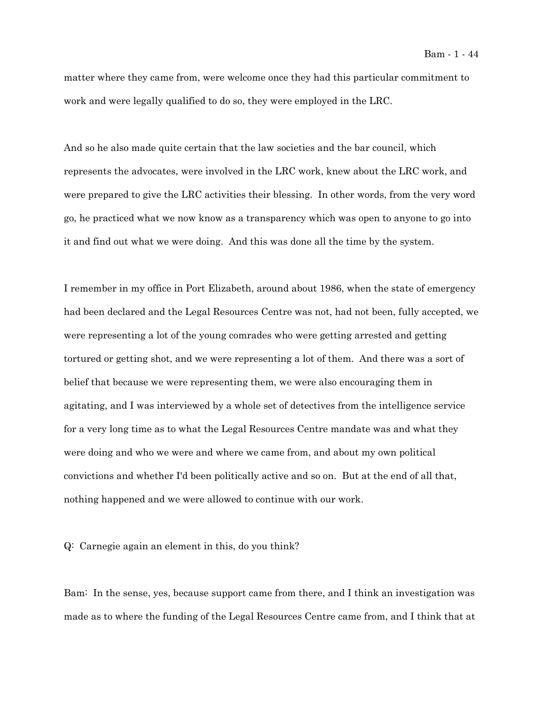matter where they came from, were welcome once they had this particular commitment to work and were legally qualified to do so, they were employed in the LRC.

And so he also made quite certain that the law societies and the bar council, which represents the advocates, were involved in the LRC work, knew about the LRC work, and were prepared to give the LRC activities their blessing. In other words, from the very word go, he practiced what we now know as a transparency which was open to anyone to go into it and find out what we were doing. And this was done all the time by the system.

I remember in my office in Port Elizabeth, around about 1986, when the state of emergency had been declared and the Legal Resources Centre was not, had not been, fully accepted, we were representing a lot of the young comrades who were getting arrested and getting tortured or getting shot, and we were representing a lot of them. And there was a sort of belief that because we were representing them, we were also encouraging them in agitating, and I was interviewed by a whole set of detectives from the intelligence service for a very long time as to what the Legal Resources Centre mandate was and what they were doing and who we were and where we came from, and about my own political convictions and whether I'd been politically active and so on. But at the end of all that, nothing happened and we were allowed to continue with our work.

Q: Carnegie again an element in this, do you think?

Bam: In the sense, yes, because support came from there, and I think an investigation was made as to where the funding of the Legal Resources Centre came from, and I think that at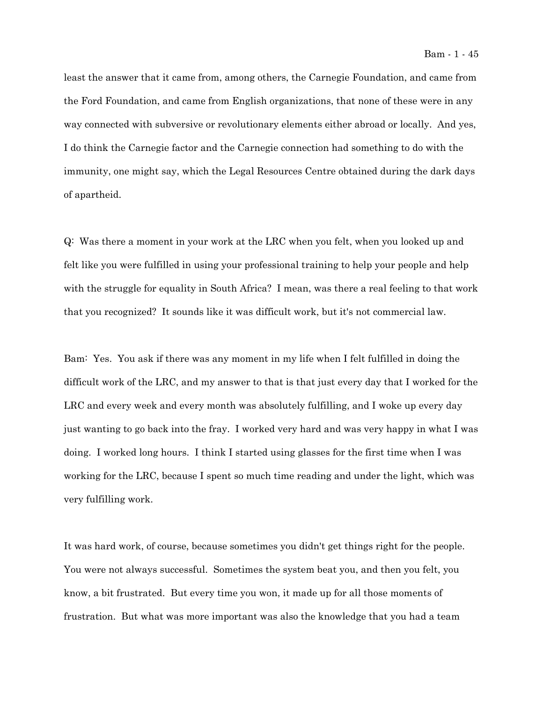least the answer that it came from, among others, the Carnegie Foundation, and came from the Ford Foundation, and came from English organizations, that none of these were in any way connected with subversive or revolutionary elements either abroad or locally. And yes, I do think the Carnegie factor and the Carnegie connection had something to do with the immunity, one might say, which the Legal Resources Centre obtained during the dark days of apartheid.

Q: Was there a moment in your work at the LRC when you felt, when you looked up and felt like you were fulfilled in using your professional training to help your people and help with the struggle for equality in South Africa? I mean, was there a real feeling to that work that you recognized? It sounds like it was difficult work, but it's not commercial law.

Bam: Yes. You ask if there was any moment in my life when I felt fulfilled in doing the difficult work of the LRC, and my answer to that is that just every day that I worked for the LRC and every week and every month was absolutely fulfilling, and I woke up every day just wanting to go back into the fray. I worked very hard and was very happy in what I was doing. I worked long hours. I think I started using glasses for the first time when I was working for the LRC, because I spent so much time reading and under the light, which was very fulfilling work.

It was hard work, of course, because sometimes you didn't get things right for the people. You were not always successful. Sometimes the system beat you, and then you felt, you know, a bit frustrated. But every time you won, it made up for all those moments of frustration. But what was more important was also the knowledge that you had a team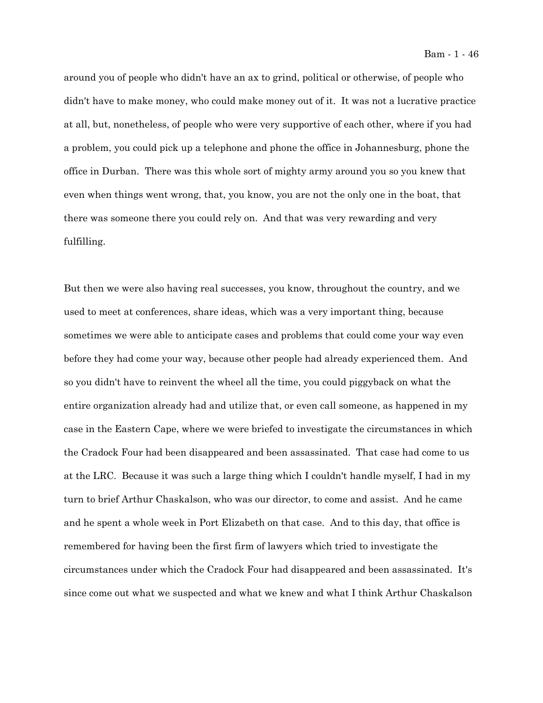Bam - 1 - 46

around you of people who didn't have an ax to grind, political or otherwise, of people who didn't have to make money, who could make money out of it. It was not a lucrative practice at all, but, nonetheless, of people who were very supportive of each other, where if you had a problem, you could pick up a telephone and phone the office in Johannesburg, phone the office in Durban. There was this whole sort of mighty army around you so you knew that even when things went wrong, that, you know, you are not the only one in the boat, that there was someone there you could rely on. And that was very rewarding and very fulfilling.

But then we were also having real successes, you know, throughout the country, and we used to meet at conferences, share ideas, which was a very important thing, because sometimes we were able to anticipate cases and problems that could come your way even before they had come your way, because other people had already experienced them. And so you didn't have to reinvent the wheel all the time, you could piggyback on what the entire organization already had and utilize that, or even call someone, as happened in my case in the Eastern Cape, where we were briefed to investigate the circumstances in which the Cradock Four had been disappeared and been assassinated. That case had come to us at the LRC. Because it was such a large thing which I couldn't handle myself, I had in my turn to brief Arthur Chaskalson, who was our director, to come and assist. And he came and he spent a whole week in Port Elizabeth on that case. And to this day, that office is remembered for having been the first firm of lawyers which tried to investigate the circumstances under which the Cradock Four had disappeared and been assassinated. It's since come out what we suspected and what we knew and what I think Arthur Chaskalson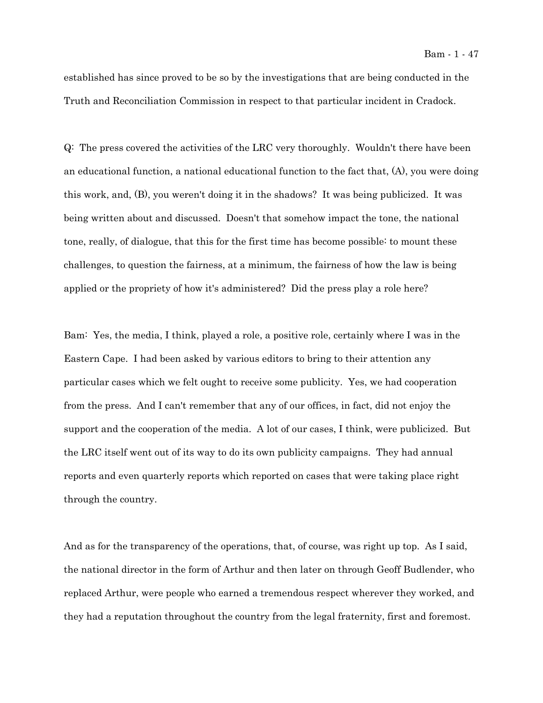established has since proved to be so by the investigations that are being conducted in the Truth and Reconciliation Commission in respect to that particular incident in Cradock.

Q: The press covered the activities of the LRC very thoroughly. Wouldn't there have been an educational function, a national educational function to the fact that, (A), you were doing this work, and, (B), you weren't doing it in the shadows? It was being publicized. It was being written about and discussed. Doesn't that somehow impact the tone, the national tone, really, of dialogue, that this for the first time has become possible: to mount these challenges, to question the fairness, at a minimum, the fairness of how the law is being applied or the propriety of how it's administered? Did the press play a role here?

Bam: Yes, the media, I think, played a role, a positive role, certainly where I was in the Eastern Cape. I had been asked by various editors to bring to their attention any particular cases which we felt ought to receive some publicity. Yes, we had cooperation from the press. And I can't remember that any of our offices, in fact, did not enjoy the support and the cooperation of the media. A lot of our cases, I think, were publicized. But the LRC itself went out of its way to do its own publicity campaigns. They had annual reports and even quarterly reports which reported on cases that were taking place right through the country.

And as for the transparency of the operations, that, of course, was right up top. As I said, the national director in the form of Arthur and then later on through Geoff Budlender, who replaced Arthur, were people who earned a tremendous respect wherever they worked, and they had a reputation throughout the country from the legal fraternity, first and foremost.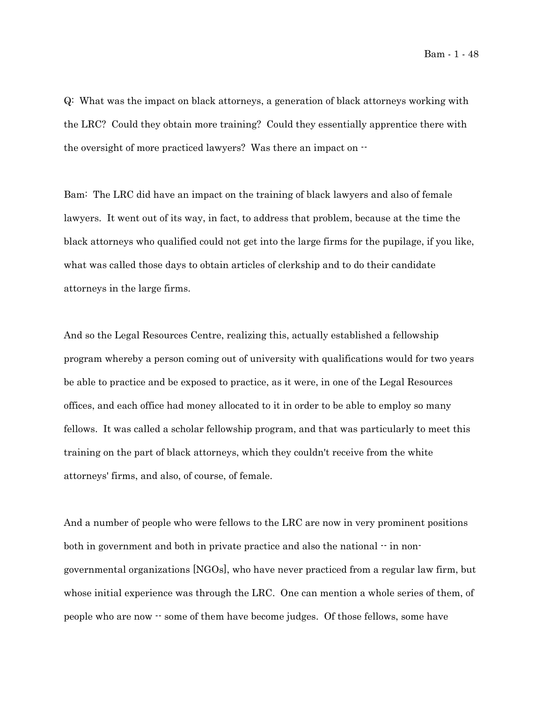Q: What was the impact on black attorneys, a generation of black attorneys working with the LRC? Could they obtain more training? Could they essentially apprentice there with the oversight of more practiced lawyers? Was there an impact on --

Bam: The LRC did have an impact on the training of black lawyers and also of female lawyers. It went out of its way, in fact, to address that problem, because at the time the black attorneys who qualified could not get into the large firms for the pupilage, if you like, what was called those days to obtain articles of clerkship and to do their candidate attorneys in the large firms.

And so the Legal Resources Centre, realizing this, actually established a fellowship program whereby a person coming out of university with qualifications would for two years be able to practice and be exposed to practice, as it were, in one of the Legal Resources offices, and each office had money allocated to it in order to be able to employ so many fellows. It was called a scholar fellowship program, and that was particularly to meet this training on the part of black attorneys, which they couldn't receive from the white attorneys' firms, and also, of course, of female.

And a number of people who were fellows to the LRC are now in very prominent positions both in government and both in private practice and also the national  $-$  in nongovernmental organizations [NGOs], who have never practiced from a regular law firm, but whose initial experience was through the LRC. One can mention a whole series of them, of people who are now -- some of them have become judges. Of those fellows, some have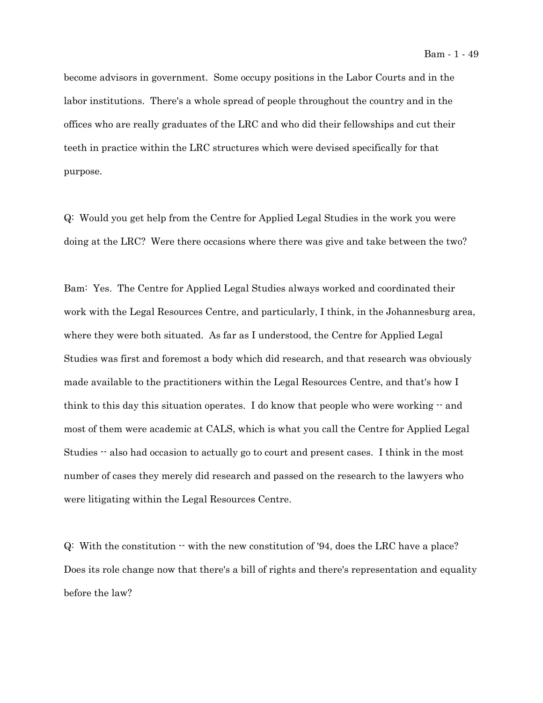become advisors in government. Some occupy positions in the Labor Courts and in the labor institutions. There's a whole spread of people throughout the country and in the offices who are really graduates of the LRC and who did their fellowships and cut their teeth in practice within the LRC structures which were devised specifically for that purpose.

Q: Would you get help from the Centre for Applied Legal Studies in the work you were doing at the LRC? Were there occasions where there was give and take between the two?

Bam: Yes. The Centre for Applied Legal Studies always worked and coordinated their work with the Legal Resources Centre, and particularly, I think, in the Johannesburg area, where they were both situated. As far as I understood, the Centre for Applied Legal Studies was first and foremost a body which did research, and that research was obviously made available to the practitioners within the Legal Resources Centre, and that's how I think to this day this situation operates. I do know that people who were working  $-$  and most of them were academic at CALS, which is what you call the Centre for Applied Legal Studies -- also had occasion to actually go to court and present cases. I think in the most number of cases they merely did research and passed on the research to the lawyers who were litigating within the Legal Resources Centre.

Q: With the constitution -- with the new constitution of '94, does the LRC have a place? Does its role change now that there's a bill of rights and there's representation and equality before the law?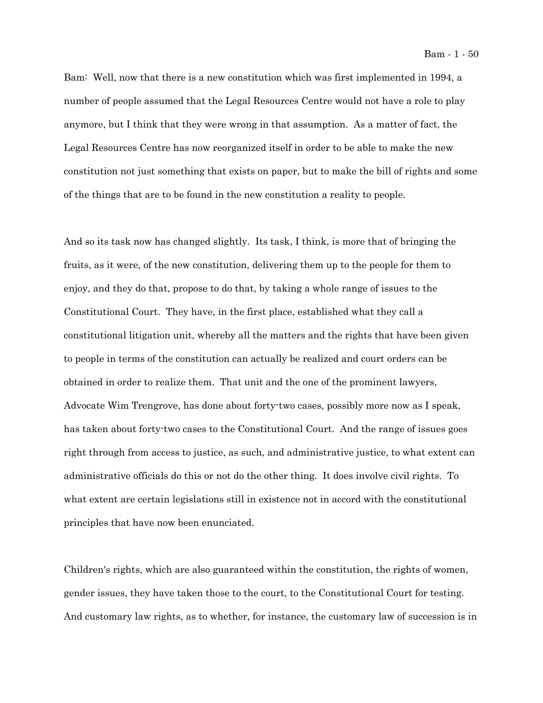Bam: Well, now that there is a new constitution which was first implemented in 1994, a number of people assumed that the Legal Resources Centre would not have a role to play anymore, but I think that they were wrong in that assumption. As a matter of fact, the Legal Resources Centre has now reorganized itself in order to be able to make the new constitution not just something that exists on paper, but to make the bill of rights and some of the things that are to be found in the new constitution a reality to people.

And so its task now has changed slightly. Its task, I think, is more that of bringing the fruits, as it were, of the new constitution, delivering them up to the people for them to enjoy, and they do that, propose to do that, by taking a whole range of issues to the Constitutional Court. They have, in the first place, established what they call a constitutional litigation unit, whereby all the matters and the rights that have been given to people in terms of the constitution can actually be realized and court orders can be obtained in order to realize them. That unit and the one of the prominent lawyers, Advocate Wim Trengrove, has done about forty-two cases, possibly more now as I speak, has taken about forty-two cases to the Constitutional Court. And the range of issues goes right through from access to justice, as such, and administrative justice, to what extent can administrative officials do this or not do the other thing. It does involve civil rights. To what extent are certain legislations still in existence not in accord with the constitutional principles that have now been enunciated.

Children's rights, which are also guaranteed within the constitution, the rights of women, gender issues, they have taken those to the court, to the Constitutional Court for testing. And customary law rights, as to whether, for instance, the customary law of succession is in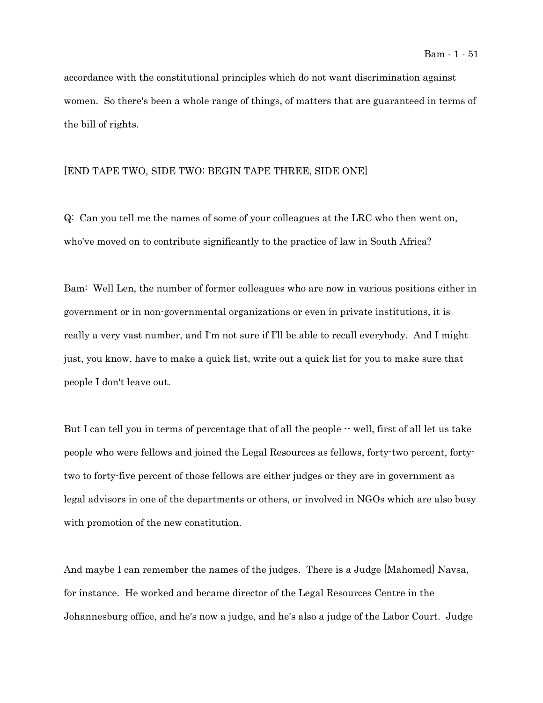accordance with the constitutional principles which do not want discrimination against women. So there's been a whole range of things, of matters that are guaranteed in terms of the bill of rights.

## [END TAPE TWO, SIDE TWO; BEGIN TAPE THREE, SIDE ONE]

Q: Can you tell me the names of some of your colleagues at the LRC who then went on, who've moved on to contribute significantly to the practice of law in South Africa?

Bam: Well Len, the number of former colleagues who are now in various positions either in government or in non-governmental organizations or even in private institutions, it is really a very vast number, and I'm not sure if I'll be able to recall everybody. And I might just, you know, have to make a quick list, write out a quick list for you to make sure that people I don't leave out.

But I can tell you in terms of percentage that of all the people  $-$  well, first of all let us take people who were fellows and joined the Legal Resources as fellows, forty-two percent, fortytwo to forty-five percent of those fellows are either judges or they are in government as legal advisors in one of the departments or others, or involved in NGOs which are also busy with promotion of the new constitution.

And maybe I can remember the names of the judges. There is a Judge [Mahomed] Navsa, for instance. He worked and became director of the Legal Resources Centre in the Johannesburg office, and he's now a judge, and he's also a judge of the Labor Court. Judge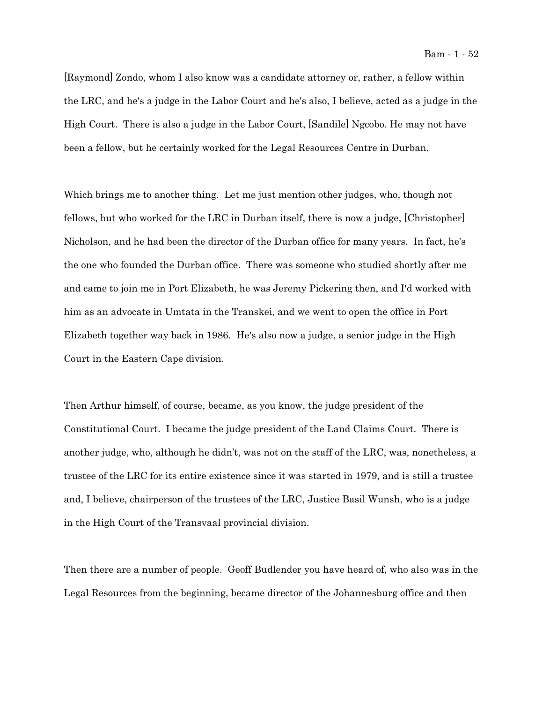[Raymond] Zondo, whom I also know was a candidate attorney or, rather, a fellow within the LRC, and he's a judge in the Labor Court and he's also, I believe, acted as a judge in the High Court. There is also a judge in the Labor Court, [Sandile] Ngcobo. He may not have been a fellow, but he certainly worked for the Legal Resources Centre in Durban.

Which brings me to another thing. Let me just mention other judges, who, though not fellows, but who worked for the LRC in Durban itself, there is now a judge, [Christopher] Nicholson, and he had been the director of the Durban office for many years. In fact, he's the one who founded the Durban office. There was someone who studied shortly after me and came to join me in Port Elizabeth, he was Jeremy Pickering then, and I'd worked with him as an advocate in Umtata in the Transkei, and we went to open the office in Port Elizabeth together way back in 1986. He's also now a judge, a senior judge in the High Court in the Eastern Cape division.

Then Arthur himself, of course, became, as you know, the judge president of the Constitutional Court. I became the judge president of the Land Claims Court. There is another judge, who, although he didn't, was not on the staff of the LRC, was, nonetheless, a trustee of the LRC for its entire existence since it was started in 1979, and is still a trustee and, I believe, chairperson of the trustees of the LRC, Justice Basil Wunsh, who is a judge in the High Court of the Transvaal provincial division.

Then there are a number of people. Geoff Budlender you have heard of, who also was in the Legal Resources from the beginning, became director of the Johannesburg office and then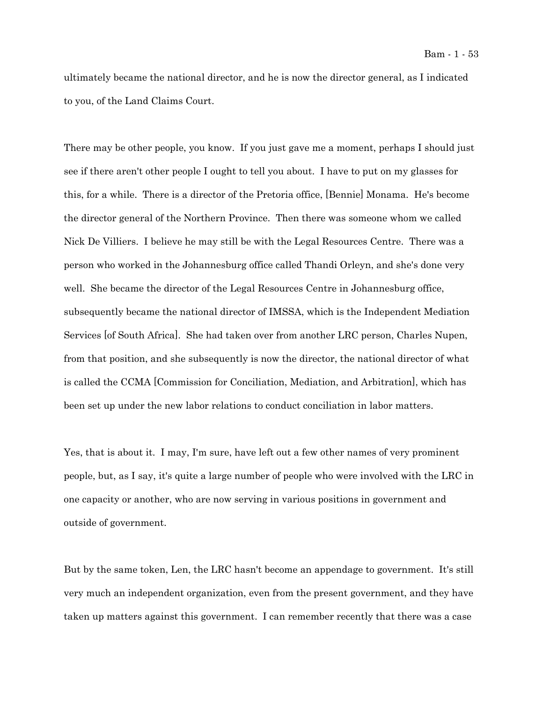ultimately became the national director, and he is now the director general, as I indicated to you, of the Land Claims Court.

There may be other people, you know. If you just gave me a moment, perhaps I should just see if there aren't other people I ought to tell you about. I have to put on my glasses for this, for a while. There is a director of the Pretoria office, [Bennie] Monama. He's become the director general of the Northern Province. Then there was someone whom we called Nick De Villiers. I believe he may still be with the Legal Resources Centre. There was a person who worked in the Johannesburg office called Thandi Orleyn, and she's done very well. She became the director of the Legal Resources Centre in Johannesburg office, subsequently became the national director of IMSSA, which is the Independent Mediation Services [of South Africa]. She had taken over from another LRC person, Charles Nupen, from that position, and she subsequently is now the director, the national director of what is called the CCMA [Commission for Conciliation, Mediation, and Arbitration], which has been set up under the new labor relations to conduct conciliation in labor matters.

Yes, that is about it. I may, I'm sure, have left out a few other names of very prominent people, but, as I say, it's quite a large number of people who were involved with the LRC in one capacity or another, who are now serving in various positions in government and outside of government.

But by the same token, Len, the LRC hasn't become an appendage to government. It's still very much an independent organization, even from the present government, and they have taken up matters against this government. I can remember recently that there was a case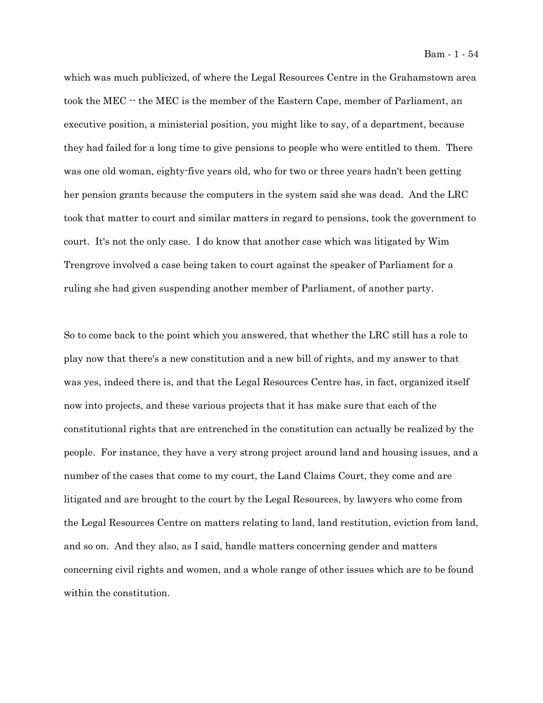which was much publicized, of where the Legal Resources Centre in the Grahamstown area took the MEC -- the MEC is the member of the Eastern Cape, member of Parliament, an executive position, a ministerial position, you might like to say, of a department, because they had failed for a long time to give pensions to people who were entitled to them. There was one old woman, eighty-five years old, who for two or three years hadn't been getting her pension grants because the computers in the system said she was dead. And the LRC took that matter to court and similar matters in regard to pensions, took the government to court. It's not the only case. I do know that another case which was litigated by Wim Trengrove involved a case being taken to court against the speaker of Parliament for a ruling she had given suspending another member of Parliament, of another party.

So to come back to the point which you answered, that whether the LRC still has a role to play now that there's a new constitution and a new bill of rights, and my answer to that was yes, indeed there is, and that the Legal Resources Centre has, in fact, organized itself now into projects, and these various projects that it has make sure that each of the constitutional rights that are entrenched in the constitution can actually be realized by the people. For instance, they have a very strong project around land and housing issues, and a number of the cases that come to my court, the Land Claims Court, they come and are litigated and are brought to the court by the Legal Resources, by lawyers who come from the Legal Resources Centre on matters relating to land, land restitution, eviction from land, and so on. And they also, as I said, handle matters concerning gender and matters concerning civil rights and women, and a whole range of other issues which are to be found within the constitution.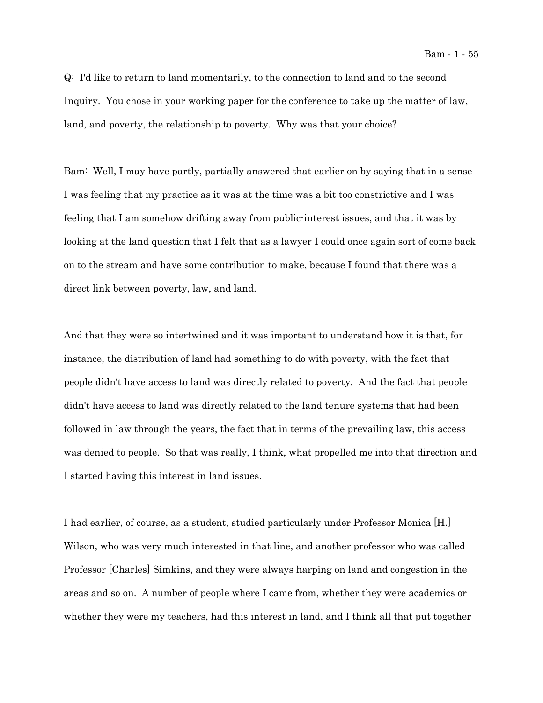Q: I'd like to return to land momentarily, to the connection to land and to the second Inquiry. You chose in your working paper for the conference to take up the matter of law, land, and poverty, the relationship to poverty. Why was that your choice?

Bam: Well, I may have partly, partially answered that earlier on by saying that in a sense I was feeling that my practice as it was at the time was a bit too constrictive and I was feeling that I am somehow drifting away from public-interest issues, and that it was by looking at the land question that I felt that as a lawyer I could once again sort of come back on to the stream and have some contribution to make, because I found that there was a direct link between poverty, law, and land.

And that they were so intertwined and it was important to understand how it is that, for instance, the distribution of land had something to do with poverty, with the fact that people didn't have access to land was directly related to poverty. And the fact that people didn't have access to land was directly related to the land tenure systems that had been followed in law through the years, the fact that in terms of the prevailing law, this access was denied to people. So that was really, I think, what propelled me into that direction and I started having this interest in land issues.

I had earlier, of course, as a student, studied particularly under Professor Monica [H.] Wilson, who was very much interested in that line, and another professor who was called Professor [Charles] Simkins, and they were always harping on land and congestion in the areas and so on. A number of people where I came from, whether they were academics or whether they were my teachers, had this interest in land, and I think all that put together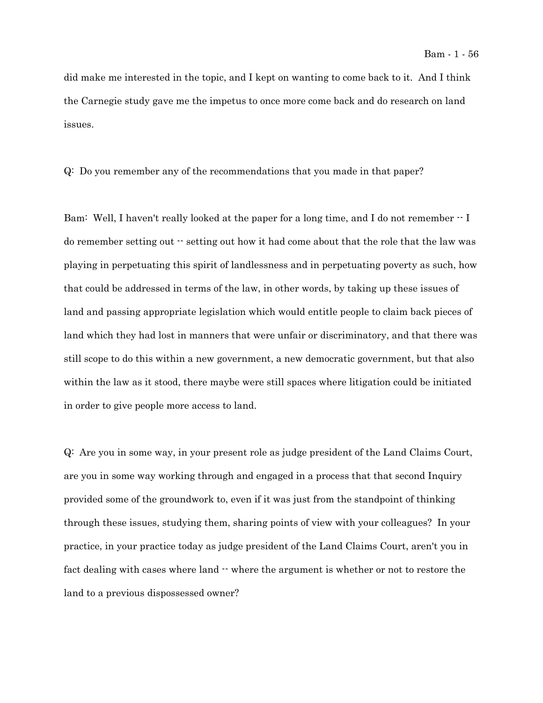did make me interested in the topic, and I kept on wanting to come back to it. And I think the Carnegie study gave me the impetus to once more come back and do research on land issues.

Q: Do you remember any of the recommendations that you made in that paper?

Bam: Well, I haven't really looked at the paper for a long time, and I do not remember  $\cdot$  I do remember setting out  $\cdot$  setting out how it had come about that the role that the law was playing in perpetuating this spirit of landlessness and in perpetuating poverty as such, how that could be addressed in terms of the law, in other words, by taking up these issues of land and passing appropriate legislation which would entitle people to claim back pieces of land which they had lost in manners that were unfair or discriminatory, and that there was still scope to do this within a new government, a new democratic government, but that also within the law as it stood, there maybe were still spaces where litigation could be initiated in order to give people more access to land.

Q: Are you in some way, in your present role as judge president of the Land Claims Court, are you in some way working through and engaged in a process that that second Inquiry provided some of the groundwork to, even if it was just from the standpoint of thinking through these issues, studying them, sharing points of view with your colleagues? In your practice, in your practice today as judge president of the Land Claims Court, aren't you in fact dealing with cases where land  $\cdot\cdot$  where the argument is whether or not to restore the land to a previous dispossessed owner?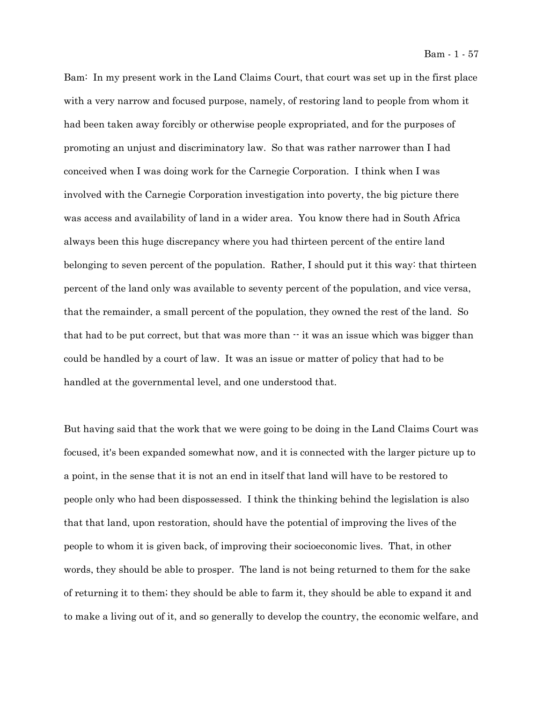Bam: In my present work in the Land Claims Court, that court was set up in the first place with a very narrow and focused purpose, namely, of restoring land to people from whom it had been taken away forcibly or otherwise people expropriated, and for the purposes of promoting an unjust and discriminatory law. So that was rather narrower than I had conceived when I was doing work for the Carnegie Corporation. I think when I was involved with the Carnegie Corporation investigation into poverty, the big picture there was access and availability of land in a wider area. You know there had in South Africa always been this huge discrepancy where you had thirteen percent of the entire land belonging to seven percent of the population. Rather, I should put it this way: that thirteen percent of the land only was available to seventy percent of the population, and vice versa, that the remainder, a small percent of the population, they owned the rest of the land. So that had to be put correct, but that was more than  $\cdot \cdot$  it was an issue which was bigger than could be handled by a court of law. It was an issue or matter of policy that had to be handled at the governmental level, and one understood that.

But having said that the work that we were going to be doing in the Land Claims Court was focused, it's been expanded somewhat now, and it is connected with the larger picture up to a point, in the sense that it is not an end in itself that land will have to be restored to people only who had been dispossessed. I think the thinking behind the legislation is also that that land, upon restoration, should have the potential of improving the lives of the people to whom it is given back, of improving their socioeconomic lives. That, in other words, they should be able to prosper. The land is not being returned to them for the sake of returning it to them; they should be able to farm it, they should be able to expand it and to make a living out of it, and so generally to develop the country, the economic welfare, and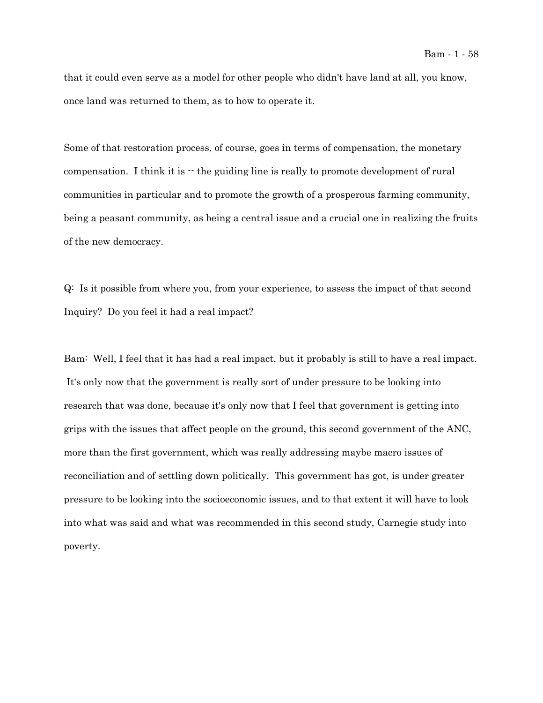that it could even serve as a model for other people who didn't have land at all, you know, once land was returned to them, as to how to operate it.

Some of that restoration process, of course, goes in terms of compensation, the monetary compensation. I think it is  $\cdot$  the guiding line is really to promote development of rural communities in particular and to promote the growth of a prosperous farming community, being a peasant community, as being a central issue and a crucial one in realizing the fruits of the new democracy.

Q: Is it possible from where you, from your experience, to assess the impact of that second Inquiry? Do you feel it had a real impact?

Bam: Well, I feel that it has had a real impact, but it probably is still to have a real impact. It's only now that the government is really sort of under pressure to be looking into research that was done, because it's only now that I feel that government is getting into grips with the issues that affect people on the ground, this second government of the ANC, more than the first government, which was really addressing maybe macro issues of reconciliation and of settling down politically. This government has got, is under greater pressure to be looking into the socioeconomic issues, and to that extent it will have to look into what was said and what was recommended in this second study, Carnegie study into poverty.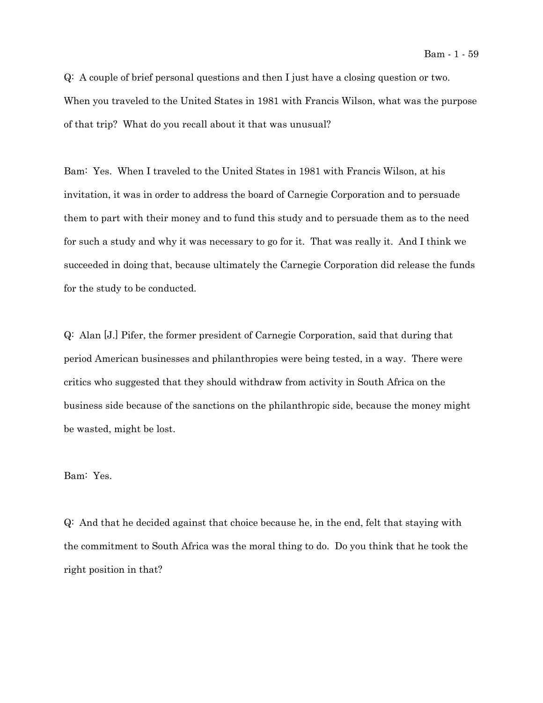Q: A couple of brief personal questions and then I just have a closing question or two. When you traveled to the United States in 1981 with Francis Wilson, what was the purpose of that trip? What do you recall about it that was unusual?

Bam: Yes. When I traveled to the United States in 1981 with Francis Wilson, at his invitation, it was in order to address the board of Carnegie Corporation and to persuade them to part with their money and to fund this study and to persuade them as to the need for such a study and why it was necessary to go for it. That was really it. And I think we succeeded in doing that, because ultimately the Carnegie Corporation did release the funds for the study to be conducted.

Q: Alan [J.] Pifer, the former president of Carnegie Corporation, said that during that period American businesses and philanthropies were being tested, in a way. There were critics who suggested that they should withdraw from activity in South Africa on the business side because of the sanctions on the philanthropic side, because the money might be wasted, might be lost.

## Bam: Yes.

Q: And that he decided against that choice because he, in the end, felt that staying with the commitment to South Africa was the moral thing to do. Do you think that he took the right position in that?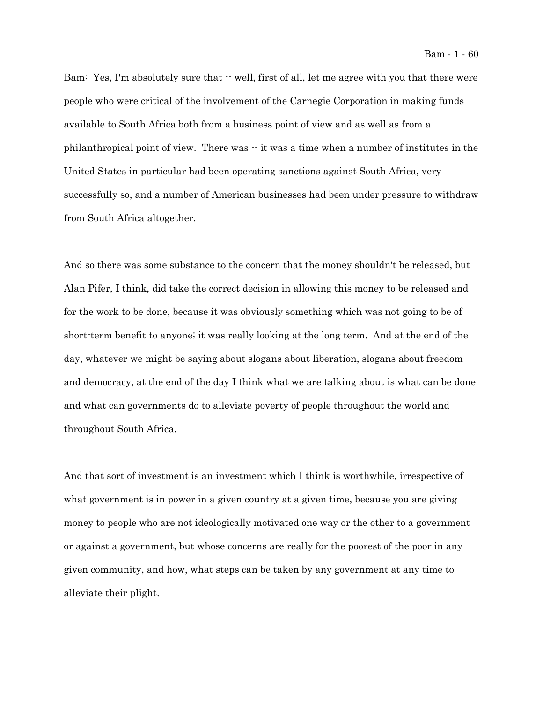Bam: Yes, I'm absolutely sure that  $\cdot \cdot$  well, first of all, let me agree with you that there were people who were critical of the involvement of the Carnegie Corporation in making funds available to South Africa both from a business point of view and as well as from a philanthropical point of view. There was  $\cdot \cdot$  it was a time when a number of institutes in the United States in particular had been operating sanctions against South Africa, very successfully so, and a number of American businesses had been under pressure to withdraw from South Africa altogether.

And so there was some substance to the concern that the money shouldn't be released, but Alan Pifer, I think, did take the correct decision in allowing this money to be released and for the work to be done, because it was obviously something which was not going to be of short-term benefit to anyone; it was really looking at the long term. And at the end of the day, whatever we might be saying about slogans about liberation, slogans about freedom and democracy, at the end of the day I think what we are talking about is what can be done and what can governments do to alleviate poverty of people throughout the world and throughout South Africa.

And that sort of investment is an investment which I think is worthwhile, irrespective of what government is in power in a given country at a given time, because you are giving money to people who are not ideologically motivated one way or the other to a government or against a government, but whose concerns are really for the poorest of the poor in any given community, and how, what steps can be taken by any government at any time to alleviate their plight.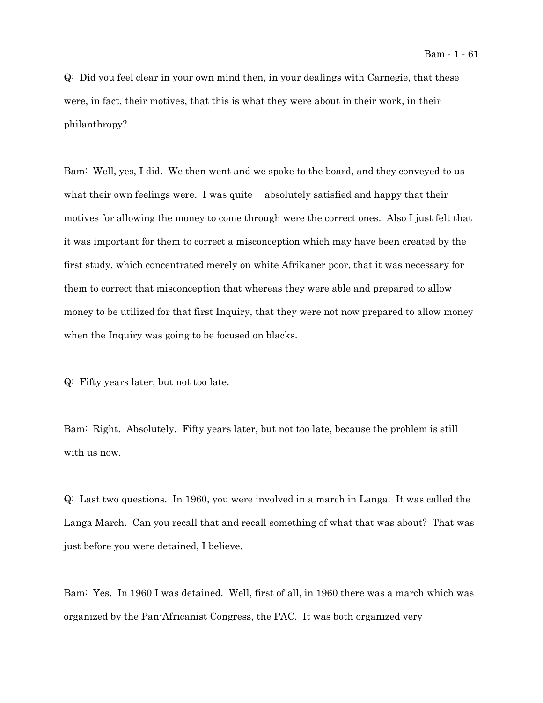Q: Did you feel clear in your own mind then, in your dealings with Carnegie, that these were, in fact, their motives, that this is what they were about in their work, in their philanthropy?

Bam: Well, yes, I did. We then went and we spoke to the board, and they conveyed to us what their own feelings were. I was quite  $-$  absolutely satisfied and happy that their motives for allowing the money to come through were the correct ones. Also I just felt that it was important for them to correct a misconception which may have been created by the first study, which concentrated merely on white Afrikaner poor, that it was necessary for them to correct that misconception that whereas they were able and prepared to allow money to be utilized for that first Inquiry, that they were not now prepared to allow money when the Inquiry was going to be focused on blacks.

Q: Fifty years later, but not too late.

Bam: Right. Absolutely. Fifty years later, but not too late, because the problem is still with us now.

Q: Last two questions. In 1960, you were involved in a march in Langa. It was called the Langa March. Can you recall that and recall something of what that was about? That was just before you were detained, I believe.

Bam: Yes. In 1960 I was detained. Well, first of all, in 1960 there was a march which was organized by the Pan-Africanist Congress, the PAC. It was both organized very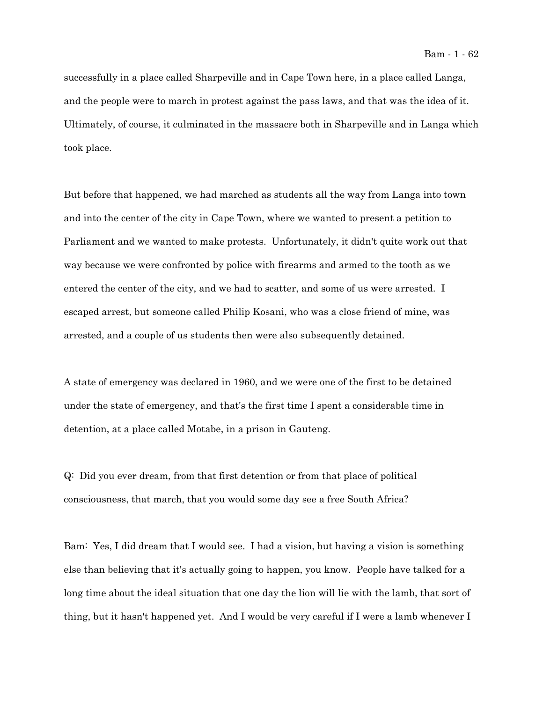successfully in a place called Sharpeville and in Cape Town here, in a place called Langa, and the people were to march in protest against the pass laws, and that was the idea of it. Ultimately, of course, it culminated in the massacre both in Sharpeville and in Langa which took place.

But before that happened, we had marched as students all the way from Langa into town and into the center of the city in Cape Town, where we wanted to present a petition to Parliament and we wanted to make protests. Unfortunately, it didn't quite work out that way because we were confronted by police with firearms and armed to the tooth as we entered the center of the city, and we had to scatter, and some of us were arrested. I escaped arrest, but someone called Philip Kosani, who was a close friend of mine, was arrested, and a couple of us students then were also subsequently detained.

A state of emergency was declared in 1960, and we were one of the first to be detained under the state of emergency, and that's the first time I spent a considerable time in detention, at a place called Motabe, in a prison in Gauteng.

Q: Did you ever dream, from that first detention or from that place of political consciousness, that march, that you would some day see a free South Africa?

Bam: Yes, I did dream that I would see. I had a vision, but having a vision is something else than believing that it's actually going to happen, you know. People have talked for a long time about the ideal situation that one day the lion will lie with the lamb, that sort of thing, but it hasn't happened yet. And I would be very careful if I were a lamb whenever I